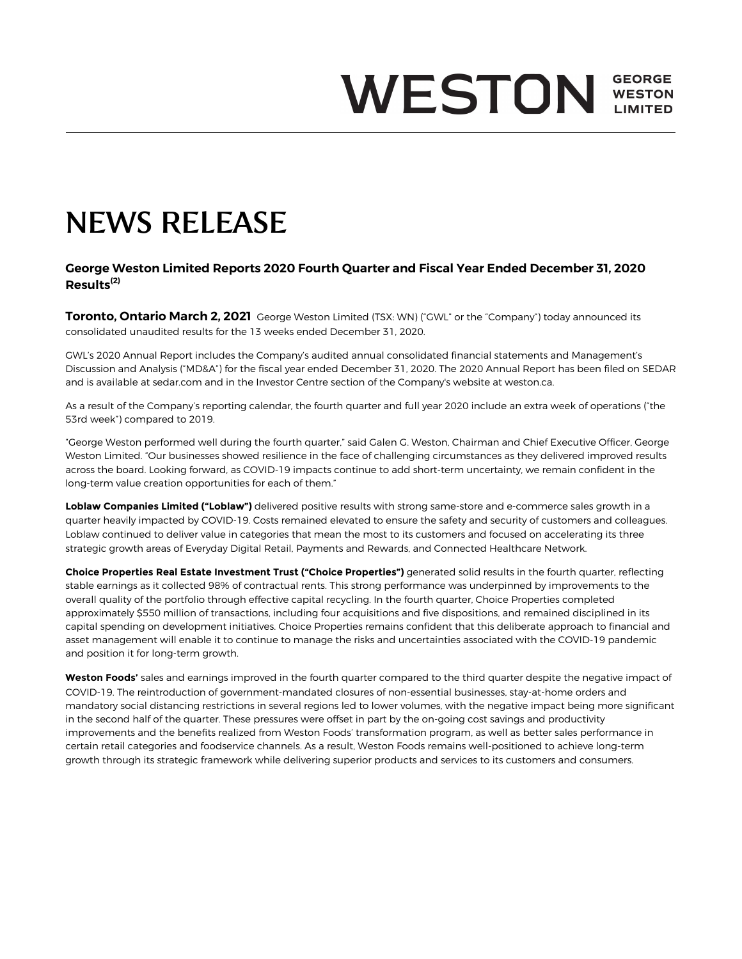# **WESTON WESTON LIMITED**

# NEWS RELEASE

## **George Weston Limited Reports 2020 Fourth Quarter and Fiscal Year Ended December 31, 2020 Results(2)**

**Toronto, Ontario March 2, 2021** George Weston Limited (TSX: WN) ("GWL" or the "Company") today announced its consolidated unaudited results for the 13 weeks ended December 31, 2020.

GWL's 2020 Annual Report includes the Company's audited annual consolidated financial statements and Management's Discussion and Analysis ("MD&A") for the fiscal year ended December 31, 2020. The 2020 Annual Report has been filed on SEDAR and is available at sedar.com and in the Investor Centre section of the Company's website at weston.ca.

As a result of the Company's reporting calendar, the fourth quarter and full year 2020 include an extra week of operations ("the 53rd week") compared to 2019.

"George Weston performed well during the fourth quarter," said Galen G. Weston, Chairman and Chief Executive Officer, George Weston Limited. "Our businesses showed resilience in the face of challenging circumstances as they delivered improved results across the board. Looking forward, as COVID-19 impacts continue to add short-term uncertainty, we remain confident in the long-term value creation opportunities for each of them."

**Loblaw Companies Limited ("Loblaw")** delivered positive results with strong same-store and e-commerce sales growth in a quarter heavily impacted by COVID-19. Costs remained elevated to ensure the safety and security of customers and colleagues. Loblaw continued to deliver value in categories that mean the most to its customers and focused on accelerating its three strategic growth areas of Everyday Digital Retail, Payments and Rewards, and Connected Healthcare Network.

**Choice Properties Real Estate Investment Trust ("Choice Properties")** generated solid results in the fourth quarter, reflecting stable earnings as it collected 98% of contractual rents. This strong performance was underpinned by improvements to the overall quality of the portfolio through effective capital recycling. In the fourth quarter, Choice Properties completed approximately \$550 million of transactions, including four acquisitions and five dispositions, and remained disciplined in its capital spending on development initiatives. Choice Properties remains confident that this deliberate approach to financial and asset management will enable it to continue to manage the risks and uncertainties associated with the COVID-19 pandemic and position it for long-term growth.

*Weston Foods'* sales and earnings improved in the fourth quarter compared to the third quarter despite the negative impact of COVID-19. The reintroduction of government-mandated closures of non-essential businesses, stay-at-home orders and mandatory social distancing restrictions in several regions led to lower volumes, with the negative impact being more significant in the second half of the quarter. These pressures were offset in part by the on-going cost savings and productivity improvements and the benefits realized from Weston Foods' transformation program, as well as better sales performance in certain retail categories and foodservice channels. As a result, Weston Foods remains well-positioned to achieve long-term growth through its strategic framework while delivering superior products and services to its customers and consumers.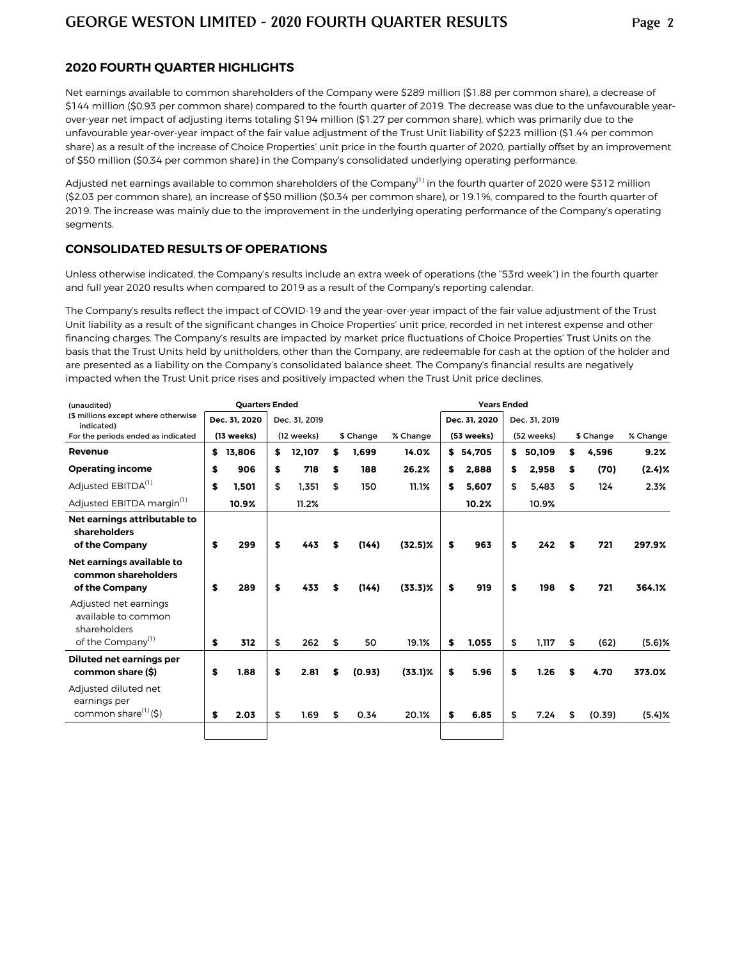#### **2020 FOURTH QUARTER HIGHLIGHTS**

Net earnings available to common shareholders of the Company were \$289 million (\$1.88 per common share), a decrease of \$144 million (\$0.93 per common share) compared to the fourth quarter of 2019. The decrease was due to the unfavourable yearover-year net impact of adjusting items totaling \$194 million (\$1.27 per common share), which was primarily due to the unfavourable year-over-year impact of the fair value adjustment of the Trust Unit liability of \$223 million (\$1.44 per common share) as a result of the increase of Choice Properties' unit price in the fourth quarter of 2020, partially offset by an improvement of \$50 million (\$0.34 per common share) in the Company's consolidated underlying operating performance.

Adjusted net earnings available to common shareholders of the Company<sup>(1)</sup> in the fourth quarter of 2020 were \$312 million (\$2.03 per common share), an increase of \$50 million (\$0.34 per common share), or 19.1%, compared to the fourth quarter of 2019. The increase was mainly due to the improvement in the underlying operating performance of the Company's operating segments.

#### **CONSOLIDATED RESULTS OF OPERATIONS**

Unless otherwise indicated, the Company's results include an extra week of operations (the "53rd week") in the fourth quarter and full year 2020 results when compared to 2019 as a result of the Company's reporting calendar.

The Company's results reflect the impact of COVID-19 and the year-over-year impact of the fair value adjustment of the Trust Unit liability as a result of the significant changes in Choice Properties' unit price, recorded in net interest expense and other financing charges. The Company's results are impacted by market price fluctuations of Choice Properties' Trust Units on the basis that the Trust Units held by unitholders, other than the Company, are redeemable for cash at the option of the holder and are presented as a liability on the Company's consolidated balance sheet. The Company's financial results are negatively impacted when the Trust Unit price rises and positively impacted when the Trust Unit price declines.

| (unaudited)                                                                                   | <b>Quarters Ended</b> |               |    |               |    | <b>Years Ended</b> |            |    |               |    |               |    |           |           |
|-----------------------------------------------------------------------------------------------|-----------------------|---------------|----|---------------|----|--------------------|------------|----|---------------|----|---------------|----|-----------|-----------|
| (\$ millions except where otherwise<br>indicated)                                             |                       | Dec. 31, 2020 |    | Dec. 31, 2019 |    |                    |            |    | Dec. 31, 2020 |    | Dec. 31, 2019 |    |           |           |
| For the periods ended as indicated                                                            |                       | (13 weeks)    |    | (12 weeks)    |    | \$ Change          | % Change   |    | (53 weeks)    |    | (52 weeks)    |    | \$ Change | % Change  |
| Revenue                                                                                       | \$                    | 13,806        | s. | 12,107        | S  | 1,699              | 14.0%      |    | \$54,705      | s. | 50,109        | \$ | 4,596     | 9.2%      |
| <b>Operating income</b>                                                                       | \$                    | 906           | \$ | 718           | S  | 188                | 26.2%      | \$ | 2.888         | \$ | 2.958         | \$ | (70)      | $(2.4)$ % |
| Adjusted EBITDA <sup>(1)</sup>                                                                | \$                    | 1.501         | \$ | 1,351         | \$ | 150                | 11.1%      | S  | 5,607         | \$ | 5,483         | \$ | 124       | 2.3%      |
| Adjusted EBITDA margin <sup>(1)</sup>                                                         |                       | 10.9%         |    | 11.2%         |    |                    |            |    | 10.2%         |    | 10.9%         |    |           |           |
| Net earnings attributable to<br>shareholders<br>of the Company                                | \$                    | 299           | \$ | 443           | S  | (144)              | $(32.5)\%$ | \$ | 963           | \$ | 242           | \$ | 721       | 297.9%    |
| Net earnings available to<br>common shareholders<br>of the Company                            | \$                    | 289           | \$ | 433           |    | (144)              | $(33.3)\%$ | \$ | 919           | \$ | 198           | \$ | 721       | 364.1%    |
| Adjusted net earnings<br>available to common<br>shareholders<br>of the Company <sup>(1)</sup> | \$                    | 312           | \$ | 262           | \$ | 50                 | 19.1%      | \$ | 1.055         | \$ | 1.117         | \$ | (62)      | $(5.6)$ % |
| Diluted net earnings per<br>common share (\$)                                                 | \$                    | 1.88          | \$ | 2.81          | S  | (0.93)             | $(33.1)\%$ | \$ | 5.96          | \$ | 1.26          | S  | 4.70      | 373.0%    |
| Adjusted diluted net<br>earnings per<br>common share $(1)$ $(5)$                              | \$                    | 2.03          | \$ | 1.69          | \$ | 0.34               | 20.1%      | \$ | 6.85          | \$ | 7.24          | \$ | (0.39)    | (5.4)%    |
|                                                                                               |                       |               |    |               |    |                    |            |    |               |    |               |    |           |           |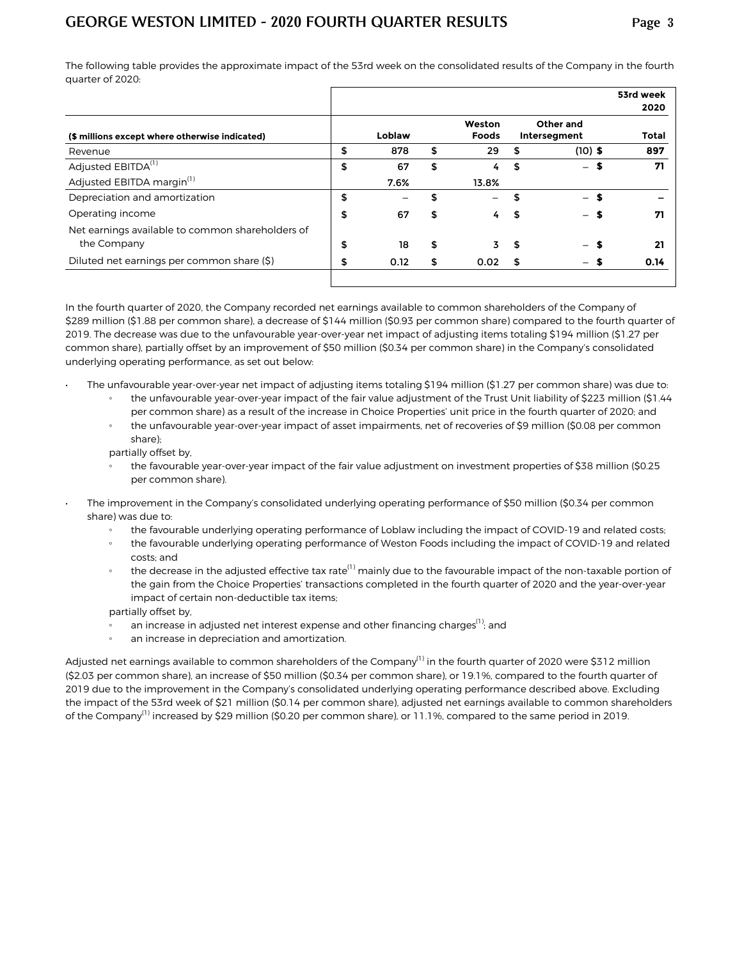The following table provides the approximate impact of the 53rd week on the consolidated results of the Company in the fourth quarter of 2020:

|                                                                                                          | 53rd week<br>2020 |
|----------------------------------------------------------------------------------------------------------|-------------------|
| Other and<br>Weston<br>Loblaw<br>Foods<br>(\$ millions except where otherwise indicated)<br>Intersegment | Total             |
| \$<br>$(10)$ \$<br>878<br>\$<br>29<br>\$                                                                 | 897               |
| \$<br>\$<br>\$<br>67<br>S<br>4<br>$-$                                                                    | 71                |
| Adjusted EBITDA margin <sup>(1)</sup><br>7.6%<br>13.8%                                                   |                   |
| \$<br>Depreciation and amortization<br>\$<br>- \$                                                        |                   |
| \$<br>67<br>4<br>S<br>S                                                                                  | 71                |
| Net earnings available to common shareholders of<br>\$<br>\$<br>18<br>3.<br>\$                           | 21                |
| Diluted net earnings per common share (\$)<br>\$<br>0.12<br>\$<br>0.02<br>S                              | 0.14              |
|                                                                                                          |                   |

In the fourth quarter of 2020, the Company recorded net earnings available to common shareholders of the Company of \$289 million (\$1.88 per common share), a decrease of \$144 million (\$0.93 per common share) compared to the fourth quarter of 2019. The decrease was due to the unfavourable year-over-year net impact of adjusting items totaling \$194 million (\$1.27 per common share), partially offset by an improvement of \$50 million (\$0.34 per common share) in the Company's consolidated underlying operating performance, as set out below:

- The unfavourable year-over-year net impact of adjusting items totaling \$194 million (\$1.27 per common share) was due to:
	- the unfavourable year-over-year impact of the fair value adjustment of the Trust Unit liability of \$223 million (\$1.44 per common share) as a result of the increase in Choice Properties' unit price in the fourth quarter of 2020; and
	- the unfavourable year-over-year impact of asset impairments, net of recoveries of \$9 million (\$0.08 per common share);

partially offset by,

- the favourable year-over-year impact of the fair value adjustment on investment properties of \$38 million (\$0.25 per common share).
- The improvement in the Company's consolidated underlying operating performance of \$50 million (\$0.34 per common share) was due to:
	- the favourable underlying operating performance of Loblaw including the impact of COVID-19 and related costs;
	- the favourable underlying operating performance of Weston Foods including the impact of COVID-19 and related costs; and
	- the decrease in the adjusted effective tax rate<sup>(1)</sup> mainly due to the favourable impact of the non-taxable portion of the gain from the Choice Properties' transactions completed in the fourth quarter of 2020 and the year-over-year impact of certain non-deductible tax items;

partially offset by,

- an increase in adjusted net interest expense and other financing charges<sup>(1)</sup>; and
- an increase in depreciation and amortization.

Adjusted net earnings available to common shareholders of the Company<sup>(1)</sup> in the fourth quarter of 2020 were \$312 million (\$2.03 per common share), an increase of \$50 million (\$0.34 per common share), or 19.1%, compared to the fourth quarter of 2019 due to the improvement in the Company's consolidated underlying operating performance described above. Excluding the impact of the 53rd week of \$21 million (\$0.14 per common share), adjusted net earnings available to common shareholders of the Company<sup>(1)</sup> increased by \$29 million (\$0.20 per common share), or 11.1%, compared to the same period in 2019.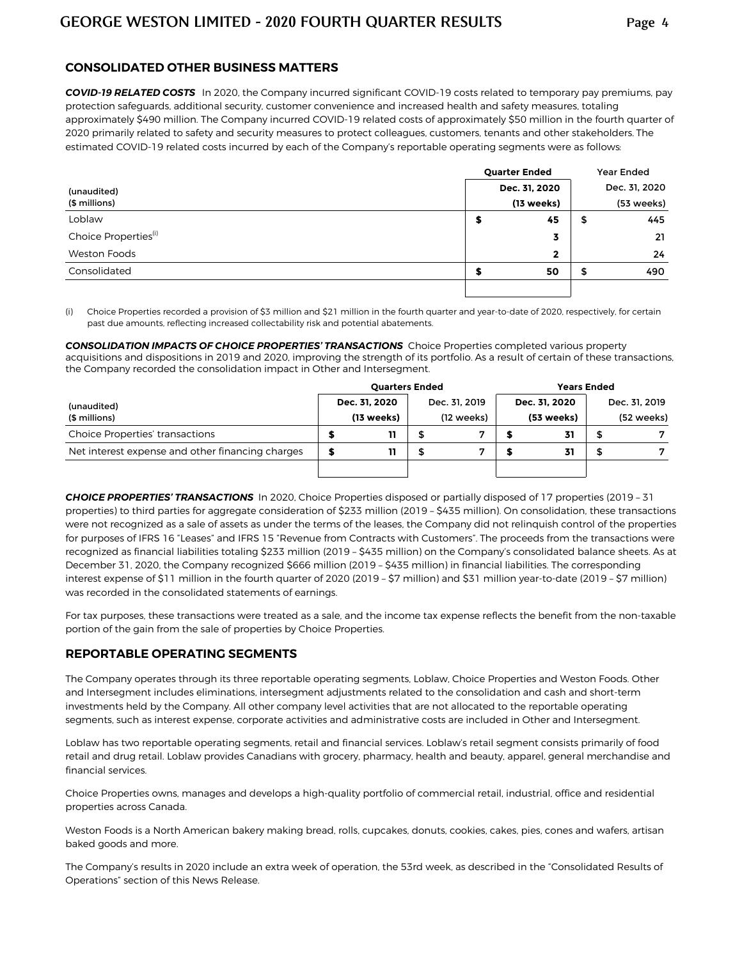#### **CONSOLIDATED OTHER BUSINESS MATTERS**

*COVID-19 RELATED COSTS*In 2020, the Company incurred significant COVID-19 costs related to temporary pay premiums, pay protection safeguards, additional security, customer convenience and increased health and safety measures, totaling approximately \$490 million. The Company incurred COVID-19 related costs of approximately \$50 million in the fourth quarter of 2020 primarily related to safety and security measures to protect colleagues, customers, tenants and other stakeholders. The estimated COVID-19 related costs incurred by each of the Company's reportable operating segments were as follows:

|                                  | <b>Quarter Ended</b> |               |   |               |  |
|----------------------------------|----------------------|---------------|---|---------------|--|
| (unaudited)                      |                      | Dec. 31, 2020 |   | Dec. 31, 2020 |  |
| (\$ millions)                    |                      | (13 weeks)    |   | (53 weeks)    |  |
| Loblaw                           |                      | 45            | ъ | 445           |  |
| Choice Properties <sup>(i)</sup> |                      | 3             |   | 21            |  |
| Weston Foods                     |                      | $\mathbf{2}$  |   | 24            |  |
| Consolidated                     |                      | 50            | ≖ | 490           |  |
|                                  |                      |               |   |               |  |

(i) Choice Properties recorded a provision of \$3 million and \$21 million in the fourth quarter and year-to-date of 2020, respectively, for certain past due amounts, reflecting increased collectability risk and potential abatements.

*CONSOLIDATION IMPACTS OF CHOICE PROPERTIES' TRANSACTIONS*Choice Properties completed various property acquisitions and dispositions in 2019 and 2020, improving the strength of its portfolio. As a result of certain of these transactions, the Company recorded the consolidation impact in Other and Intersegment.

|                                                  | <b>Quarters Ended</b> |               | <b>Years Ended</b> |               |   |               |  |  |
|--------------------------------------------------|-----------------------|---------------|--------------------|---------------|---|---------------|--|--|
| (unaudited)                                      | Dec. 31, 2020         | Dec. 31, 2019 |                    | Dec. 31. 2020 |   | Dec. 31, 2019 |  |  |
| (\$ millions)                                    | (13 weeks)            | (12 weeks)    |                    | (53 weeks)    |   | (52 weeks)    |  |  |
| <b>Choice Properties' transactions</b>           | 11                    |               |                    | 31            |   |               |  |  |
| Net interest expense and other financing charges | 11                    |               |                    | 31            | æ |               |  |  |
|                                                  |                       |               |                    |               |   |               |  |  |

*CHOICE PROPERTIES' TRANSACTIONS* In 2020, Choice Properties disposed or partially disposed of 17 properties (2019 – 31 properties) to third parties for aggregate consideration of \$233 million (2019 – \$435 million). On consolidation, these transactions were not recognized as a sale of assets as under the terms of the leases, the Company did not relinquish control of the properties for purposes of IFRS 16 "Leases" and IFRS 15 "Revenue from Contracts with Customers". The proceeds from the transactions were recognized as financial liabilities totaling \$233 million (2019 – \$435 million) on the Company's consolidated balance sheets. As at December 31, 2020, the Company recognized \$666 million (2019 – \$435 million) in financial liabilities. The corresponding interest expense of \$11 million in the fourth quarter of 2020 (2019 – \$7 million) and \$31 million year-to-date (2019 – \$7 million) was recorded in the consolidated statements of earnings.

For tax purposes, these transactions were treated as a sale, and the income tax expense reflects the benefit from the non-taxable portion of the gain from the sale of properties by Choice Properties.

#### **REPORTABLE OPERATING SEGMENTS**

The Company operates through its three reportable operating segments, Loblaw, Choice Properties and Weston Foods. Other and Intersegment includes eliminations, intersegment adjustments related to the consolidation and cash and short-term investments held by the Company. All other company level activities that are not allocated to the reportable operating segments, such as interest expense, corporate activities and administrative costs are included in Other and Intersegment.

Loblaw has two reportable operating segments, retail and financial services. Loblaw's retail segment consists primarily of food retail and drug retail. Loblaw provides Canadians with grocery, pharmacy, health and beauty, apparel, general merchandise and financial services.

Choice Properties owns, manages and develops a high-quality portfolio of commercial retail, industrial, office and residential properties across Canada.

Weston Foods is a North American bakery making bread, rolls, cupcakes, donuts, cookies, cakes, pies, cones and wafers, artisan baked goods and more.

The Company's results in 2020 include an extra week of operation, the 53rd week, as described in the "Consolidated Results of Operations" section of this News Release.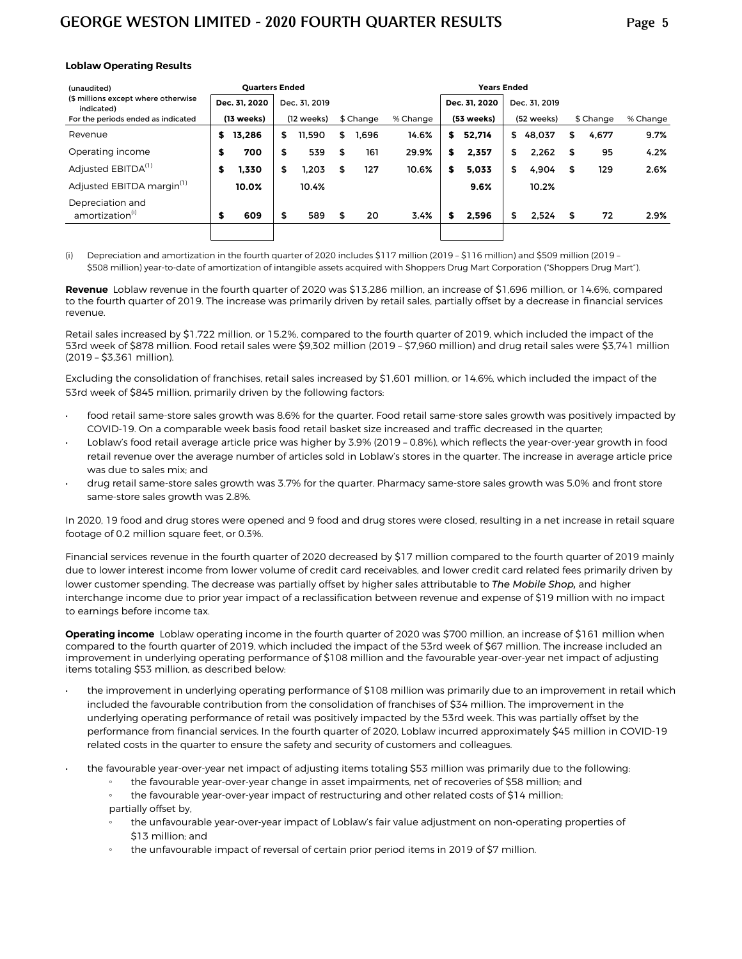#### **Loblaw Operating Results**

| (unaudited)                                       |   |               | <b>Quarters Ended</b> |               |    |           |          | <b>Years Ended</b> |               |            |               |           |       |          |
|---------------------------------------------------|---|---------------|-----------------------|---------------|----|-----------|----------|--------------------|---------------|------------|---------------|-----------|-------|----------|
| (\$ millions except where otherwise<br>indicated) |   | Dec. 31. 2020 |                       | Dec. 31, 2019 |    |           |          |                    | Dec. 31. 2020 |            | Dec. 31, 2019 |           |       |          |
| For the periods ended as indicated                |   | (13 weeks)    |                       | (12 weeks)    |    | \$ Change | % Change | (53 weeks)         |               | (52 weeks) |               | \$ Change |       | % Change |
| Revenue                                           | s | 13,286        | S                     | 11.590        | \$ | 1.696     | 14.6%    | s                  | 52.714        | \$         | 48,037        | S         | 4.677 | 9.7%     |
| Operating income                                  | S | 700           | \$                    | 539           | \$ | 161       | 29.9%    | \$                 | 2,357         | \$         | 2,262         | \$        | 95    | 4.2%     |
| Adjusted EBITDA <sup>(1)</sup>                    | S | 1,330         | \$                    | 1.203         | \$ | 127       | 10.6%    | S                  | 5,033         | \$         | 4,904         | \$        | 129   | 2.6%     |
| Adjusted EBITDA margin <sup>(1)</sup>             |   | 10.0%         |                       | 10.4%         |    |           |          |                    | 9.6%          |            | 10.2%         |           |       |          |
| Depreciation and<br>amortization(i)               | S | 609           | \$                    | 589           | \$ | 20        | 3.4%     | S                  | 2.596         | \$         | 2.524         | \$        | 72    | 2.9%     |
|                                                   |   |               |                       |               |    |           |          |                    |               |            |               |           |       |          |

(i) Depreciation and amortization in the fourth quarter of 2020 includes \$117 million (2019 – \$116 million) and \$509 million (2019 – \$508 million) year-to-date of amortization of intangible assets acquired with Shoppers Drug Mart Corporation ("Shoppers Drug Mart").

**Revenue** Loblaw revenue in the fourth quarter of 2020 was \$13,286 million, an increase of \$1,696 million, or 14.6%, compared to the fourth quarter of 2019. The increase was primarily driven by retail sales, partially offset by a decrease in financial services revenue.

Retail sales increased by \$1,722 million, or 15.2%, compared to the fourth quarter of 2019, which included the impact of the 53rd week of \$878 million. Food retail sales were \$9,302 million (2019 – \$7,960 million) and drug retail sales were \$3,741 million (2019 – \$3,361 million).

Excluding the consolidation of franchises, retail sales increased by \$1,601 million, or 14.6%, which included the impact of the 53rd week of \$845 million, primarily driven by the following factors:

- food retail same-store sales growth was 8.6% for the quarter. Food retail same-store sales growth was positively impacted by COVID-19. On a comparable week basis food retail basket size increased and traffic decreased in the quarter;
- Loblaw's food retail average article price was higher by 3.9% (2019 0.8%), which reflects the year-over-year growth in food retail revenue over the average number of articles sold in Loblaw's stores in the quarter. The increase in average article price was due to sales mix; and
- drug retail same-store sales growth was 3.7% for the quarter. Pharmacy same-store sales growth was 5.0% and front store same-store sales growth was 2.8%.

In 2020, 19 food and drug stores were opened and 9 food and drug stores were closed, resulting in a net increase in retail square footage of 0.2 million square feet, or 0.3%.

Financial services revenue in the fourth quarter of 2020 decreased by \$17 million compared to the fourth quarter of 2019 mainly due to lower interest income from lower volume of credit card receivables, and lower credit card related fees primarily driven by lower customer spending. The decrease was partially offset by higher sales attributable to *The Mobile Shop,* and higher interchange income due to prior year impact of a reclassification between revenue and expense of \$19 million with no impact to earnings before income tax.

**Operating income** Loblaw operating income in the fourth quarter of 2020 was \$700 million, an increase of \$161 million when compared to the fourth quarter of 2019, which included the impact of the 53rd week of \$67 million. The increase included an improvement in underlying operating performance of \$108 million and the favourable year-over-year net impact of adjusting items totaling \$53 million, as described below:

- the improvement in underlying operating performance of \$108 million was primarily due to an improvement in retail which included the favourable contribution from the consolidation of franchises of \$34 million. The improvement in the underlying operating performance of retail was positively impacted by the 53rd week. This was partially offset by the performance from financial services. In the fourth quarter of 2020, Loblaw incurred approximately \$45 million in COVID-19 related costs in the quarter to ensure the safety and security of customers and colleagues.
- the favourable year-over-year net impact of adjusting items totaling \$53 million was primarily due to the following:
	- the favourable year-over-year change in asset impairments, net of recoveries of \$58 million; and
	- the favourable year-over-year impact of restructuring and other related costs of \$14 million; partially offset by,
	- the unfavourable year-over-year impact of Loblaw's fair value adjustment on non-operating properties of \$13 million; and
	- the unfavourable impact of reversal of certain prior period items in 2019 of \$7 million.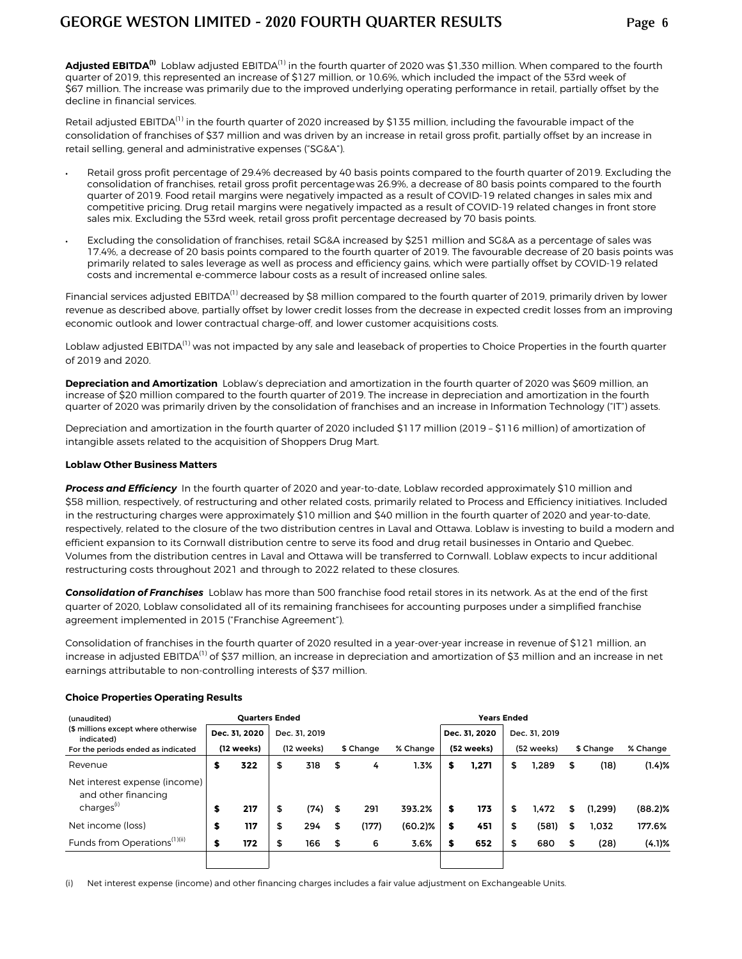**Adjusted EBITDA(1)** Loblaw adjusted EBITDA(1) in the fourth quarter of 2020 was \$1,330 million. When compared to the fourth quarter of 2019, this represented an increase of \$127 million, or 10.6%, which included the impact of the 53rd week of \$67 million. The increase was primarily due to the improved underlying operating performance in retail, partially offset by the decline in financial services.

Retail adjusted EBITDA<sup>(1)</sup> in the fourth quarter of 2020 increased by \$135 million, including the favourable impact of the consolidation of franchises of \$37 million and was driven by an increase in retail gross profit, partially offset by an increase in retail selling, general and administrative expenses ("SG&A").

- *•* Retail gross profit percentage of 29.4% decreased by 40 basis points compared to the fourth quarter of 2019. Excluding the consolidation of franchises, retail gross profit percentage was 26.9%, a decrease of 80 basis points compared to the fourth quarter of 2019. Food retail margins were negatively impacted as a result of COVID-19 related changes in sales mix and competitive pricing. Drug retail margins were negatively impacted as a result of COVID-19 related changes in front store sales mix. Excluding the 53rd week, retail gross profit percentage decreased by 70 basis points.
- *•* Excluding the consolidation of franchises, retail SG&A increased by \$251 million and SG&A as a percentage of sales was 17.4%, a decrease of 20 basis points compared to the fourth quarter of 2019. The favourable decrease of 20 basis points was primarily related to sales leverage as well as process and efficiency gains, which were partially offset by COVID-19 related costs and incremental e-commerce labour costs as a result of increased online sales.

Financial services adjusted EBITDA<sup>(1)</sup> decreased by \$8 million compared to the fourth quarter of 2019, primarily driven by lower revenue as described above, partially offset by lower credit losses from the decrease in expected credit losses from an improving economic outlook and lower contractual charge-off, and lower customer acquisitions costs.

Loblaw adjusted EBITDA<sup>(1)</sup> was not impacted by any sale and leaseback of properties to Choice Properties in the fourth quarter of 2019 and 2020.

**Depreciation and Amortization** Loblaw's depreciation and amortization in the fourth quarter of 2020 was \$609 million, an increase of \$20 million compared to the fourth quarter of 2019. The increase in depreciation and amortization in the fourth quarter of 2020 was primarily driven by the consolidation of franchises and an increase in Information Technology ("IT") assets.

Depreciation and amortization in the fourth quarter of 2020 included \$117 million (2019 – \$116 million) of amortization of intangible assets related to the acquisition of Shoppers Drug Mart.

#### **Loblaw Other Business Matters**

**Process and Efficiency** In the fourth quarter of 2020 and year-to-date, Loblaw recorded approximately \$10 million and \$58 million, respectively, of restructuring and other related costs, primarily related to Process and Efficiency initiatives. Included in the restructuring charges were approximately \$10 million and \$40 million in the fourth quarter of 2020 and year-to-date, respectively, related to the closure of the two distribution centres in Laval and Ottawa. Loblaw is investing to build a modern and efficient expansion to its Cornwall distribution centre to serve its food and drug retail businesses in Ontario and Quebec. Volumes from the distribution centres in Laval and Ottawa will be transferred to Cornwall. Loblaw expects to incur additional restructuring costs throughout 2021 and through to 2022 related to these closures.

*Consolidation of Franchises* Loblaw has more than 500 franchise food retail stores in its network. As at the end of the first quarter of 2020, Loblaw consolidated all of its remaining franchisees for accounting purposes under a simplified franchise agreement implemented in 2015 ("Franchise Agreement").

Consolidation of franchises in the fourth quarter of 2020 resulted in a year-over-year increase in revenue of \$121 million, an increase in adjusted EBITDA<sup>(1)</sup> of \$37 million, an increase in depreciation and amortization of \$3 million and an increase in net earnings attributable to non-controlling interests of \$37 million.

| (unaudited)                                          | <b>Quarters Ended</b><br><b>Years Ended</b> |    |                                                                 |    |       |         |   |               |           |               |    |          |            |
|------------------------------------------------------|---------------------------------------------|----|-----------------------------------------------------------------|----|-------|---------|---|---------------|-----------|---------------|----|----------|------------|
| (\$ millions except where otherwise<br>indicated)    | Dec. 31, 2020                               |    | Dec. 31, 2019                                                   |    |       |         |   | Dec. 31. 2020 |           | Dec. 31, 2019 |    |          |            |
| For the periods ended as indicated                   | (12 weeks)                                  |    | % Change<br>(52 weeks)<br>(12 weeks)<br>\$ Change<br>(52 weeks) |    |       |         |   |               | \$ Change | % Change      |    |          |            |
| Revenue                                              | \$<br>322                                   | \$ | 318                                                             | \$ | 4     | 1.3%    | S | 1.271         | \$        | 1.289         | \$ | (18)     | $(1.4)$ %  |
| Net interest expense (income)<br>and other financing |                                             |    |                                                                 |    |       |         |   |               |           |               |    |          |            |
| charges <sup>(i)</sup>                               | \$<br>217                                   | \$ | (74)                                                            | S  | 291   | 393.2%  | S | 173           | S         | 1,472         | S  | (1, 299) | $(88.2)\%$ |
| Net income (loss)                                    | \$<br>117                                   | \$ | 294                                                             |    | (177) | (60.2)% | S | 451           | S         | (581)         | \$ | 1.032    | 177.6%     |
| Funds from Operations <sup>(1)(ii)</sup>             | \$<br>172                                   | \$ | 166                                                             | \$ | 6     | 3.6%    | S | 652           | \$        | 680           | \$ | (28)     | (4.1)%     |
|                                                      |                                             |    |                                                                 |    |       |         |   |               |           |               |    |          |            |

#### **Choice Properties Operating Results**

(i) Net interest expense (income) and other financing charges includes a fair value adjustment on Exchangeable Units.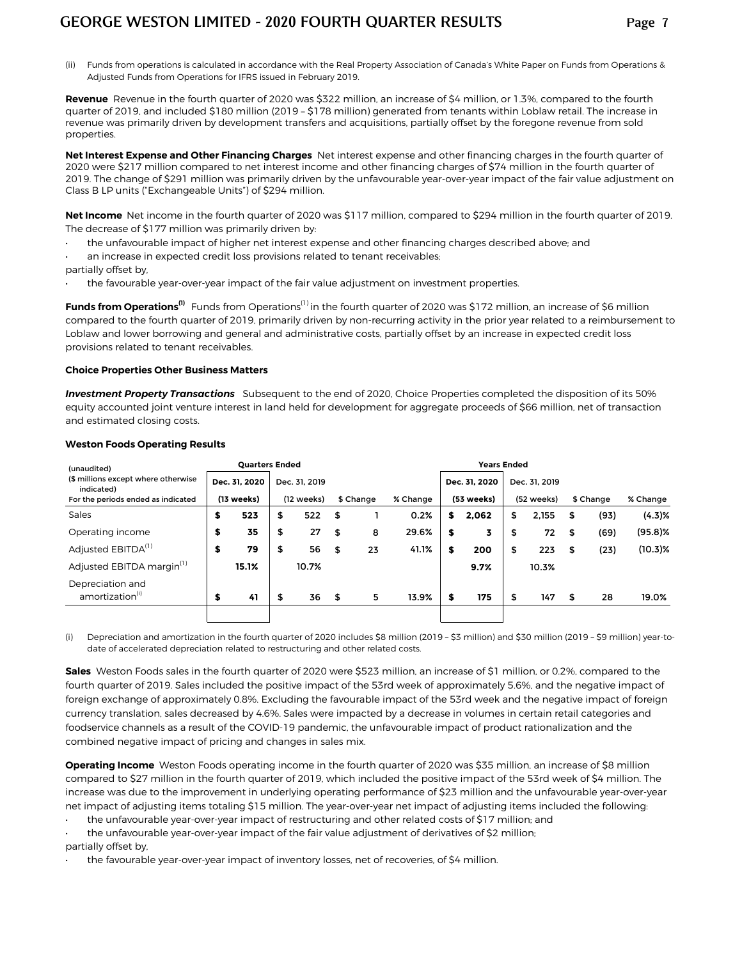(ii) Funds from operations is calculated in accordance with the Real Property Association of Canada's White Paper on Funds from Operations & Adjusted Funds from Operations for IFRS issued in February 2019.

**Revenue** Revenue in the fourth quarter of 2020 was \$322 million, an increase of \$4 million, or 1.3%, compared to the fourth quarter of 2019, and included \$180 million (2019 – \$178 million) generated from tenants within Loblaw retail. The increase in revenue was primarily driven by development transfers and acquisitions, partially offset by the foregone revenue from sold properties.

**Net Interest Expense and Other Financing Charges** Net interest expense and other financing charges in the fourth quarter of 2020 were \$217 million compared to net interest income and other financing charges of \$74 million in the fourth quarter of 2019. The change of \$291 million was primarily driven by the unfavourable year-over-year impact of the fair value adjustment on Class B LP units ("Exchangeable Units") of \$294 million.

**Net Income** Net income in the fourth quarter of 2020 was \$117 million, compared to \$294 million in the fourth quarter of 2019. The decrease of \$177 million was primarily driven by:

- the unfavourable impact of higher net interest expense and other financing charges described above; and
- an increase in expected credit loss provisions related to tenant receivables; partially offset by,
- the favourable year-over-year impact of the fair value adjustment on investment properties.

**Funds from Operations<sup>(1)</sup>** Funds from Operations<sup>(1)</sup> in the fourth quarter of 2020 was \$172 million, an increase of \$6 million compared to the fourth quarter of 2019, primarily driven by non-recurring activity in the prior year related to a reimbursement to Loblaw and lower borrowing and general and administrative costs, partially offset by an increase in expected credit loss provisions related to tenant receivables.

#### **Choice Properties Other Business Matters**

*Investment Property Transactions* Subsequent to the end of 2020, Choice Properties completed the disposition of its 50% equity accounted joint venture interest in land held for development for aggregate proceeds of \$66 million, net of transaction and estimated closing costs.

| (unaudited)                                       |    |               |    | <b>Quarters Ended</b> |    |           |          |    |               | <b>Years Ended</b> |               |    |           |            |  |
|---------------------------------------------------|----|---------------|----|-----------------------|----|-----------|----------|----|---------------|--------------------|---------------|----|-----------|------------|--|
| (\$ millions except where otherwise<br>indicated) |    | Dec. 31. 2020 |    | Dec. 31, 2019         |    |           |          |    | Dec. 31. 2020 |                    | Dec. 31, 2019 |    |           |            |  |
| For the periods ended as indicated                |    | (13 weeks)    |    | (12 weeks)            |    | \$ Change | % Change |    | (53 weeks)    |                    | (52 weeks)    |    | \$ Change | % Change   |  |
| Sales                                             | \$ | 523           | \$ | 522                   | \$ |           | 0.2%     | s  | 2,062         | \$                 | 2,155         | \$ | (93)      | $(4.3)$ %  |  |
| Operating income                                  | \$ | 35            | \$ | 27                    | \$ | 8         | 29.6%    | \$ | 3             | \$                 | 72            | \$ | (69)      | $(95.8)$ % |  |
| Adjusted EBITDA <sup>(1)</sup>                    | \$ | 79            | \$ | 56                    | \$ | 23        | 41.1%    | \$ | 200           | \$                 | 223           | \$ | (23)      | $(10.3)\%$ |  |
| Adjusted EBITDA margin <sup>(1)</sup>             |    | 15.1%         |    | 10.7%                 |    |           |          |    | 9.7%          |                    | 10.3%         |    |           |            |  |
| Depreciation and<br>amortization <sup>(i)</sup>   | \$ | 41            | \$ | 36                    | \$ | 5.        | 13.9%    | \$ | 175           | S                  | 147           | \$ | 28        | 19.0%      |  |
|                                                   |    |               |    |                       |    |           |          |    |               |                    |               |    |           |            |  |

#### **Weston Foods Operating Results**

(i) Depreciation and amortization in the fourth quarter of 2020 includes \$8 million (2019 – \$3 million) and \$30 million (2019 – \$9 million) year-todate of accelerated depreciation related to restructuring and other related costs.

**Sales** Weston Foods sales in the fourth quarter of 2020 were \$523 million, an increase of \$1 million, or 0.2%, compared to the fourth quarter of 2019. Sales included the positive impact of the 53rd week of approximately 5.6%, and the negative impact of foreign exchange of approximately 0.8%. Excluding the favourable impact of the 53rd week and the negative impact of foreign currency translation, sales decreased by 4.6%. Sales were impacted by a decrease in volumes in certain retail categories and foodservice channels as a result of the COVID-19 pandemic, the unfavourable impact of product rationalization and the combined negative impact of pricing and changes in sales mix.

**Operating Income** Weston Foods operating income in the fourth quarter of 2020 was \$35 million, an increase of \$8 million compared to \$27 million in the fourth quarter of 2019, which included the positive impact of the 53rd week of \$4 million. The increase was due to the improvement in underlying operating performance of \$23 million and the unfavourable year-over-year net impact of adjusting items totaling \$15 million. The year-over-year net impact of adjusting items included the following:

• the unfavourable year-over-year impact of restructuring and other related costs of \$17 million; and

the unfavourable year-over-year impact of the fair value adjustment of derivatives of \$2 million; partially offset by,

the favourable year-over-year impact of inventory losses, net of recoveries, of \$4 million.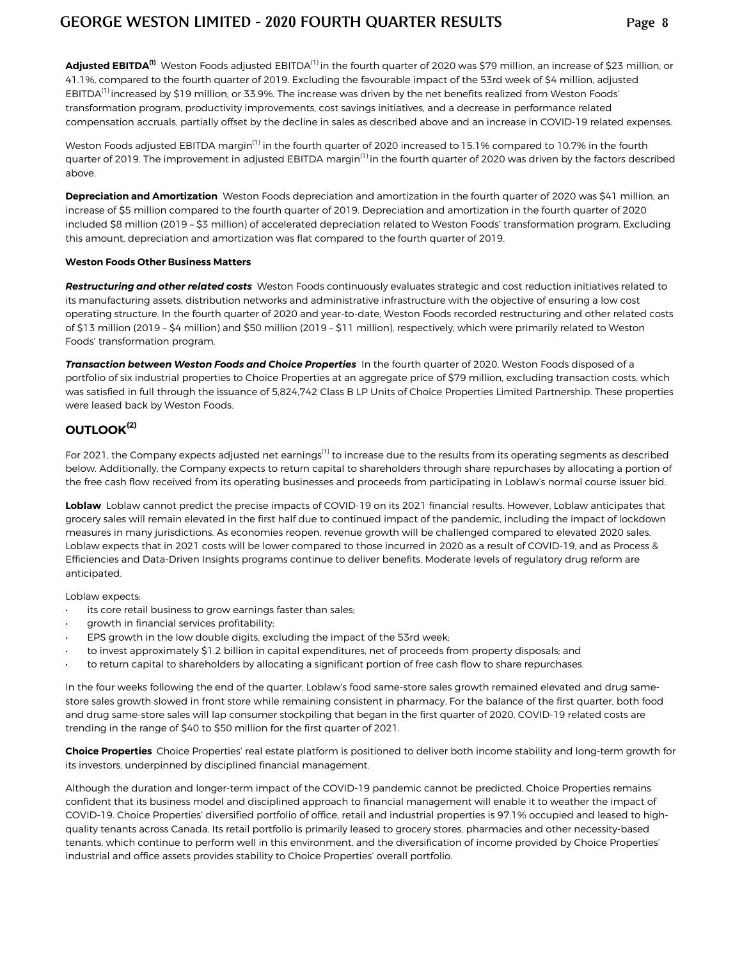**Adjusted EBITDA(1)** Weston Foods adjusted EBITDA(1) in the fourth quarter of 2020 was \$79 million, an increase of \$23 million, or 41.1%, compared to the fourth quarter of 2019. Excluding the favourable impact of the 53rd week of \$4 million, adjusted EBITDA $^{(1)}$  increased by \$19 million, or 33.9%. The increase was driven by the net benefits realized from Weston Foods' transformation program, productivity improvements, cost savings initiatives, and a decrease in performance related compensation accruals, partially offset by the decline in sales as described above and an increase in COVID-19 related expenses.

Weston Foods adjusted EBITDA margin<sup>(1)</sup> in the fourth quarter of 2020 increased to 15.1% compared to 10.7% in the fourth quarter of 2019. The improvement in adjusted EBITDA margin<sup>(1)</sup> in the fourth quarter of 2020 was driven by the factors described above.

**Depreciation and Amortization** Weston Foods depreciation and amortization in the fourth quarter of 2020 was \$41 million, an increase of \$5 million compared to the fourth quarter of 2019. Depreciation and amortization in the fourth quarter of 2020 included \$8 million (2019 – \$3 million) of accelerated depreciation related to Weston Foods' transformation program. Excluding this amount, depreciation and amortization was flat compared to the fourth quarter of 2019.

#### **Weston Foods Other Business Matters**

*Restructuring and other related costs* Weston Foods continuously evaluates strategic and cost reduction initiatives related to its manufacturing assets, distribution networks and administrative infrastructure with the objective of ensuring a low cost operating structure. In the fourth quarter of 2020 and year-to-date, Weston Foods recorded restructuring and other related costs of \$13 million (2019 – \$4 million) and \$50 million (2019 – \$11 million), respectively, which were primarily related to Weston Foods' transformation program.

*Transaction between Weston Foods and Choice Properties* In the fourth quarter of 2020, Weston Foods disposed of a portfolio of six industrial properties to Choice Properties at an aggregate price of \$79 million, excluding transaction costs, which was satisfied in full through the issuance of 5,824,742 Class B LP Units of Choice Properties Limited Partnership. These properties were leased back by Weston Foods.

## **OUTLOOK(2)**

For 2021, the Company expects adjusted net earnings<sup>(1)</sup> to increase due to the results from its operating segments as described below. Additionally, the Company expects to return capital to shareholders through share repurchases by allocating a portion of the free cash flow received from its operating businesses and proceeds from participating in Loblaw's normal course issuer bid.

**Loblaw** Loblaw cannot predict the precise impacts of COVID-19 on its 2021 financial results. However, Loblaw anticipates that grocery sales will remain elevated in the first half due to continued impact of the pandemic, including the impact of lockdown measures in many jurisdictions. As economies reopen, revenue growth will be challenged compared to elevated 2020 sales. Loblaw expects that in 2021 costs will be lower compared to those incurred in 2020 as a result of COVID-19, and as Process & Efficiencies and Data-Driven Insights programs continue to deliver benefits. Moderate levels of regulatory drug reform are anticipated.

Loblaw expects:

- its core retail business to grow earnings faster than sales;
- growth in financial services profitability;
- EPS growth in the low double digits, excluding the impact of the 53rd week;
- to invest approximately \$1.2 billion in capital expenditures, net of proceeds from property disposals; and
- to return capital to shareholders by allocating a significant portion of free cash flow to share repurchases.

In the four weeks following the end of the quarter, Loblaw's food same-store sales growth remained elevated and drug samestore sales growth slowed in front store while remaining consistent in pharmacy. For the balance of the first quarter, both food and drug same-store sales will lap consumer stockpiling that began in the first quarter of 2020. COVID-19 related costs are trending in the range of \$40 to \$50 million for the first quarter of 2021.

**Choice Properties** Choice Properties' real estate platform is positioned to deliver both income stability and long-term growth for its investors, underpinned by disciplined financial management.

Although the duration and longer-term impact of the COVID-19 pandemic cannot be predicted, Choice Properties remains confident that its business model and disciplined approach to financial management will enable it to weather the impact of COVID-19. Choice Properties' diversified portfolio of office, retail and industrial properties is 97.1% occupied and leased to highquality tenants across Canada. Its retail portfolio is primarily leased to grocery stores, pharmacies and other necessity-based tenants, which continue to perform well in this environment, and the diversification of income provided by Choice Properties' industrial and office assets provides stability to Choice Properties' overall portfolio.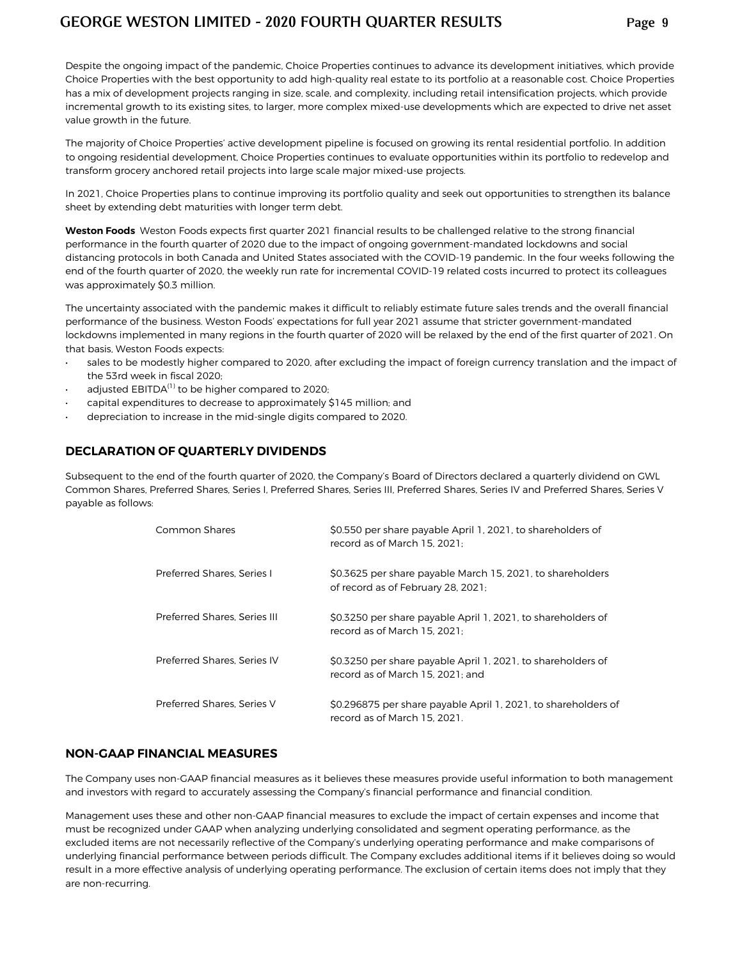Despite the ongoing impact of the pandemic, Choice Properties continues to advance its development initiatives, which provide Choice Properties with the best opportunity to add high-quality real estate to its portfolio at a reasonable cost. Choice Properties has a mix of development projects ranging in size, scale, and complexity, including retail intensification projects, which provide incremental growth to its existing sites, to larger, more complex mixed-use developments which are expected to drive net asset value growth in the future.

The majority of Choice Properties' active development pipeline is focused on growing its rental residential portfolio. In addition to ongoing residential development, Choice Properties continues to evaluate opportunities within its portfolio to redevelop and transform grocery anchored retail projects into large scale major mixed-use projects.

In 2021, Choice Properties plans to continue improving its portfolio quality and seek out opportunities to strengthen its balance sheet by extending debt maturities with longer term debt.

**Weston Foods** Weston Foods expects first quarter 2021 financial results to be challenged relative to the strong financial performance in the fourth quarter of 2020 due to the impact of ongoing government-mandated lockdowns and social distancing protocols in both Canada and United States associated with the COVID-19 pandemic. In the four weeks following the end of the fourth quarter of 2020, the weekly run rate for incremental COVID-19 related costs incurred to protect its colleagues was approximately \$0.3 million.

The uncertainty associated with the pandemic makes it difficult to reliably estimate future sales trends and the overall financial performance of the business. Weston Foods' expectations for full year 2021 assume that stricter government-mandated lockdowns implemented in many regions in the fourth quarter of 2020 will be relaxed by the end of the first quarter of 2021. On that basis, Weston Foods expects:

- sales to be modestly higher compared to 2020, after excluding the impact of foreign currency translation and the impact of the 53rd week in fiscal 2020;
- adjusted  $EBITDA<sup>(1)</sup>$  to be higher compared to 2020;
- capital expenditures to decrease to approximately \$145 million; and
- depreciation to **increase in the mid-single digits** compared to 2020.

#### **DECLARATION OF QUARTERLY DIVIDENDS**

Subsequent to the end of the fourth quarter of 2020, the Company's Board of Directors declared a quarterly dividend on GWL Common Shares, Preferred Shares, Series I, Preferred Shares, Series III, Preferred Shares, Series IV and Preferred Shares, Series V payable as follows:

| Common Shares                | \$0.550 per share payable April 1, 2021, to shareholders of<br>record as of March 15, 2021:      |
|------------------------------|--------------------------------------------------------------------------------------------------|
| Preferred Shares, Series I   | \$0.3625 per share payable March 15, 2021, to shareholders<br>of record as of February 28, 2021; |
| Preferred Shares, Series III | \$0.3250 per share payable April 1, 2021, to shareholders of<br>record as of March 15, 2021:     |
| Preferred Shares, Series IV  | \$0.3250 per share payable April 1, 2021, to shareholders of<br>record as of March 15, 2021: and |
| Preferred Shares, Series V   | \$0.296875 per share payable April 1, 2021, to shareholders of<br>record as of March 15, 2021.   |

#### **NON-GAAP FINANCIAL MEASURES**

The Company uses non-GAAP financial measures as it believes these measures provide useful information to both management and investors with regard to accurately assessing the Company's financial performance and financial condition.

Management uses these and other non-GAAP financial measures to exclude the impact of certain expenses and income that must be recognized under GAAP when analyzing underlying consolidated and segment operating performance, as the excluded items are not necessarily reflective of the Company's underlying operating performance and make comparisons of underlying financial performance between periods difficult. The Company excludes additional items if it believes doing so would result in a more effective analysis of underlying operating performance. The exclusion of certain items does not imply that they are non-recurring.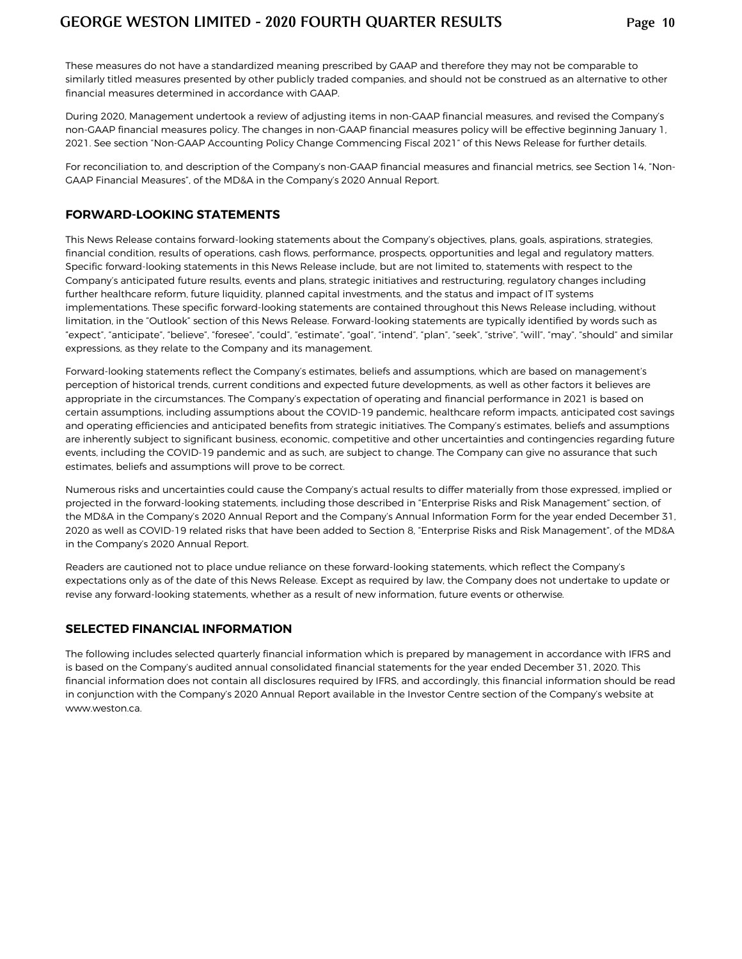These measures do not have a standardized meaning prescribed by GAAP and therefore they may not be comparable to similarly titled measures presented by other publicly traded companies, and should not be construed as an alternative to other financial measures determined in accordance with GAAP.

During 2020, Management undertook a review of adjusting items in non-GAAP financial measures, and revised the Company's non-GAAP financial measures policy. The changes in non-GAAP financial measures policy will be effective beginning January 1, 2021. See section "Non-GAAP Accounting Policy Change Commencing Fiscal 2021" of this News Release for further details.

For reconciliation to, and description of the Company's non-GAAP financial measures and financial metrics, see Section 14, "Non-GAAP Financial Measures", of the MD&A in the Company's 2020 Annual Report.

#### **FORWARD-LOOKING STATEMENTS**

This News Release contains forward-looking statements about the Company's objectives, plans, goals, aspirations, strategies, financial condition, results of operations, cash flows, performance, prospects, opportunities and legal and regulatory matters. Specific forward-looking statements in this News Release include, but are not limited to, statements with respect to the Company's anticipated future results, events and plans, strategic initiatives and restructuring,regulatory changes including further healthcare reform, future liquidity, planned capital investments, and the status and impact of IT systems implementations. These specific forward-looking statements are contained throughout this News Release including, without limitation, in the "Outlook" section of this News Release. Forward-looking statements are typically identified by words such as "expect", "anticipate", "believe", "foresee", "could", "estimate", "goal", "intend", "plan", "seek", "strive", "will", "may", "should" and similar expressions, as they relate to the Company and its management.

Forward-looking statements reflect the Company's estimates, beliefs and assumptions, which are based on management's perception of historical trends, current conditions and expected future developments, as well as other factors it believes are appropriate in the circumstances. The Company's expectation of operating and financial performance in 2021 is based on certain assumptions, including assumptions about the COVID-19 pandemic, healthcare reform impacts, anticipated cost savings and operating efficiencies and anticipated benefits from strategic initiatives. The Company's estimates, beliefs and assumptions are inherently subject to significant business, economic, competitive and other uncertainties and contingencies regarding future events, including the COVID-19 pandemic and as such, are subject to change. The Company can give no assurance that such estimates, beliefs and assumptions will prove to be correct.

Numerous risks and uncertainties could cause the Company's actual results to differ materially from those expressed, implied or projected in the forward-looking statements, including those described in "Enterprise Risks and Risk Management" section, of the MD&A in the Company's 2020 Annual Report and the Company's Annual Information Form for the year ended December 31, 2020 as well as COVID-19 related risks that have been added to Section 8, "Enterprise Risks and Risk Management", of the MD&A in the Company's 2020 Annual Report.

Readers are cautioned not to place undue reliance on these forward-looking statements, which reflect the Company's expectations only as of the date of this News Release. Except as required by law, the Company does not undertake to update or revise any forward-looking statements, whether as a result of new information, future events or otherwise.

#### **SELECTED FINANCIAL INFORMATION**

The following includes selected quarterly financial information which is prepared by management in accordance with IFRS and is based on the Company's audited annual consolidated financial statements for the year ended December 31, 2020. This financial information does not contain all disclosures required by IFRS, and accordingly, this financial information should be read in conjunction with the Company's 2020 Annual Report available in the Investor Centre section of the Company's website at www.weston.ca.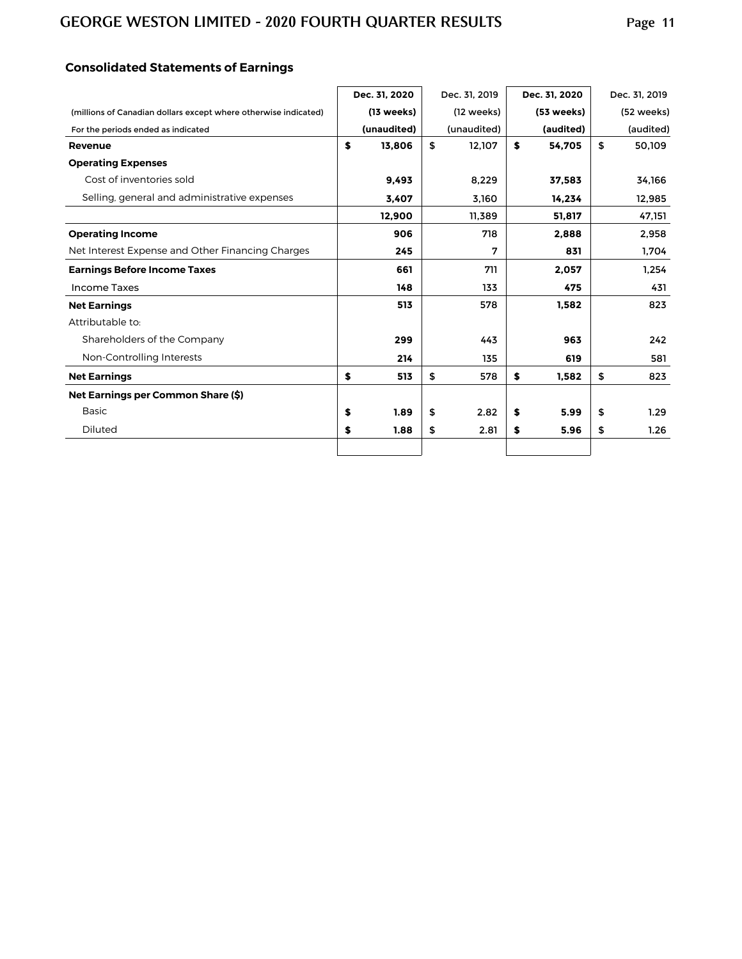## **Consolidated Statements of Earnings**

|                                                                 | Dec. 31, 2020        | Dec. 31, 2019 |    | Dec. 31, 2020 | Dec. 31, 2019 |
|-----------------------------------------------------------------|----------------------|---------------|----|---------------|---------------|
| (millions of Canadian dollars except where otherwise indicated) | $(13 \text{ weeks})$ | (12 weeks)    |    | (53 weeks)    | (52 weeks)    |
| For the periods ended as indicated                              | (unaudited)          | (unaudited)   |    | (audited)     | (audited)     |
| Revenue                                                         | \$<br>13.806         | \$<br>12,107  | S  | 54.705        | \$<br>50,109  |
| <b>Operating Expenses</b>                                       |                      |               |    |               |               |
| Cost of inventories sold                                        | 9.493                | 8,229         |    | 37,583        | 34,166        |
| Selling, general and administrative expenses                    | 3,407                | 3,160         |    | 14,234        | 12,985        |
|                                                                 | 12,900               | 11,389        |    | 51,817        | 47,151        |
| <b>Operating Income</b>                                         | 906                  | 718           |    | 2.888         | 2,958         |
| Net Interest Expense and Other Financing Charges                | 245                  | 7             |    | 831           | 1,704         |
| <b>Earnings Before Income Taxes</b>                             | 661                  | 711           |    | 2,057         | 1,254         |
| <b>Income Taxes</b>                                             | 148                  | 133           |    | 475           | 431           |
| <b>Net Earnings</b>                                             | 513                  | 578           |    | 1,582         | 823           |
| Attributable to:                                                |                      |               |    |               |               |
| Shareholders of the Company                                     | 299                  | 443           |    | 963           | 242           |
| Non-Controlling Interests                                       | 214                  | 135           |    | 619           | 581           |
| <b>Net Earnings</b>                                             | \$<br>513            | \$<br>578     | \$ | 1,582         | \$<br>823     |
| Net Earnings per Common Share (\$)                              |                      |               |    |               |               |
| <b>Basic</b>                                                    | \$<br>1.89           | \$<br>2.82    | \$ | 5.99          | \$<br>1.29    |
| Diluted                                                         | \$<br>1.88           | \$<br>2.81    | \$ | 5.96          | \$<br>1.26    |
|                                                                 |                      |               |    |               |               |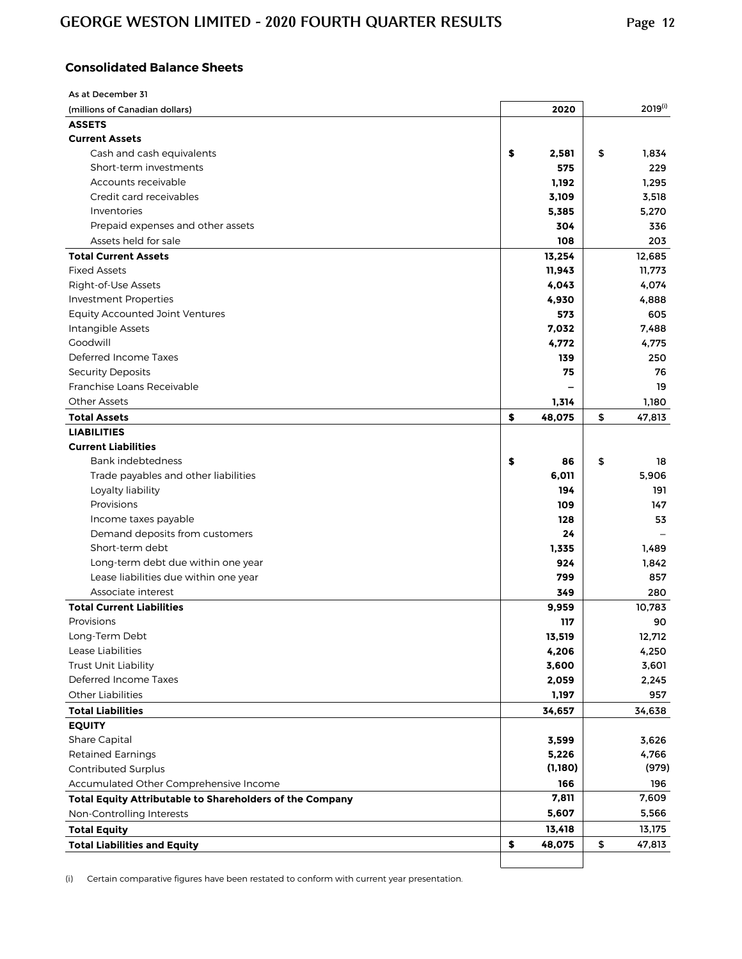## **Consolidated Balance Sheets**

| As at December 31                                        |              |              |
|----------------------------------------------------------|--------------|--------------|
| (millions of Canadian dollars)                           | 2020         | $2019^{(i)}$ |
| <b>ASSETS</b>                                            |              |              |
| <b>Current Assets</b>                                    |              |              |
| Cash and cash equivalents                                | \$<br>2,581  | \$<br>1.834  |
| Short-term investments                                   | 575          | 229          |
| Accounts receivable                                      | 1,192        | 1,295        |
| Credit card receivables                                  | 3,109        | 3,518        |
| Inventories                                              | 5,385        | 5,270        |
| Prepaid expenses and other assets                        | 304          | 336          |
| Assets held for sale                                     | 108          | 203          |
| <b>Total Current Assets</b>                              | 13,254       | 12,685       |
| <b>Fixed Assets</b>                                      | 11,943       | 11,773       |
| Right-of-Use Assets                                      | 4,043        | 4,074        |
| <b>Investment Properties</b>                             | 4,930        | 4,888        |
| <b>Equity Accounted Joint Ventures</b>                   | 573          | 605          |
| Intangible Assets                                        | 7,032        | 7,488        |
| Goodwill                                                 |              | 4,775        |
| Deferred Income Taxes                                    | 4,772        |              |
|                                                          | 139          | 250          |
| <b>Security Deposits</b>                                 | 75           | 76           |
| Franchise Loans Receivable                               |              | 19           |
| <b>Other Assets</b>                                      | 1,314        | 1,180        |
| <b>Total Assets</b>                                      | \$<br>48,075 | \$<br>47,813 |
| <b>LIABILITIES</b>                                       |              |              |
| <b>Current Liabilities</b>                               |              |              |
| Bank indebtedness                                        | \$<br>86     | \$<br>18     |
| Trade payables and other liabilities                     | 6,011        | 5,906        |
| Loyalty liability                                        | 194          | 191          |
| Provisions                                               | 109          | 147          |
| Income taxes payable                                     | 128          | 53           |
| Demand deposits from customers                           | 24           |              |
| Short-term debt                                          | 1,335        | 1,489        |
| Long-term debt due within one year                       | 924          | 1,842        |
| Lease liabilities due within one year                    | 799          | 857          |
| Associate interest                                       | 349          | 280          |
| <b>Total Current Liabilities</b>                         | 9,959        | 10,783       |
| Provisions                                               | 117          | 90           |
| Long-Term Debt                                           | 13,519       | 12,712       |
| Lease Liabilities                                        | 4,206        | 4,250        |
| Trust Unit Liability                                     | 3,600        | 3,601        |
| Deferred Income Taxes                                    | 2,059        | 2,245        |
| <b>Other Liabilities</b>                                 | 1,197        | 957          |
| <b>Total Liabilities</b>                                 | 34,657       | 34,638       |
| <b>EQUITY</b>                                            |              |              |
| Share Capital                                            | 3,599        | 3,626        |
| <b>Retained Earnings</b>                                 | 5,226        | 4,766        |
| Contributed Surplus                                      | (1,180)      | (979)        |
| Accumulated Other Comprehensive Income                   | 166          | 196          |
|                                                          | 7,811        |              |
| Total Equity Attributable to Shareholders of the Company |              | 7,609        |
| Non-Controlling Interests                                | 5,607        | 5,566        |
| <b>Total Equity</b>                                      | 13,418       | 13,175       |
| <b>Total Liabilities and Equity</b>                      | \$<br>48,075 | \$<br>47,813 |
|                                                          |              |              |

(i) Certain comparative figures have been restated to conform with current year presentation.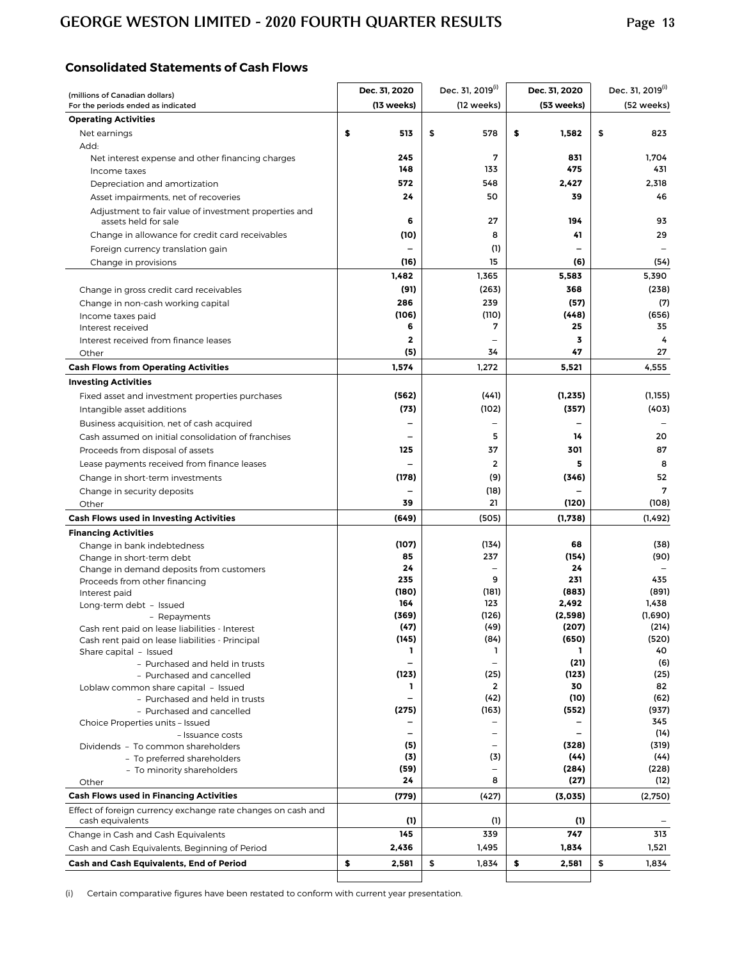## **Consolidated Statements of Cash Flows**

| (millions of Canadian dollars)                                                   | Dec. 31, 2020            | Dec. 31, 2019 <sup>(i)</sup> | Dec. 31, 2020 | Dec. 31, 2019 <sup>(i)</sup> |
|----------------------------------------------------------------------------------|--------------------------|------------------------------|---------------|------------------------------|
| For the periods ended as indicated                                               | (13 weeks)               | (12 weeks)                   | (53 weeks)    | (52 weeks)                   |
| <b>Operating Activities</b>                                                      |                          |                              |               |                              |
| Net earnings                                                                     | \$<br>513                | \$<br>578                    | \$<br>1,582   | \$<br>823                    |
| Add:                                                                             |                          |                              |               |                              |
| Net interest expense and other financing charges                                 | 245                      | 7                            | 831<br>475    | 1,704<br>431                 |
| Income taxes                                                                     | 148                      | 133                          |               |                              |
| Depreciation and amortization                                                    | 572<br>24                | 548<br>50                    | 2,427<br>39   | 2,318<br>46                  |
| Asset impairments, net of recoveries                                             |                          |                              |               |                              |
| Adjustment to fair value of investment properties and<br>assets held for sale    | 6                        | 27                           | 194           | 93                           |
| Change in allowance for credit card receivables                                  | (10)                     | 8                            | 41            | 29                           |
| Foreign currency translation gain                                                |                          | (1)                          |               |                              |
| Change in provisions                                                             | (16)                     | 15                           | (6)           | (54)                         |
|                                                                                  | 1,482                    | 1,365                        | 5,583         | 5,390                        |
| Change in gross credit card receivables                                          | (91)                     | (263)                        | 368           | (238)                        |
| Change in non-cash working capital                                               | 286                      | 239                          | (57)          | (7)                          |
| Income taxes paid                                                                | (106)                    | (110)                        | (448)         | (656)                        |
| Interest received                                                                | 6                        | 7                            | 25            | 35                           |
| Interest received from finance leases                                            | $\mathbf{2}$             |                              | 3             | 4                            |
| Other                                                                            | (5)                      | 34                           | 47            | 27                           |
| <b>Cash Flows from Operating Activities</b>                                      | 1,574                    | 1,272                        | 5,521         | 4,555                        |
| <b>Investing Activities</b>                                                      |                          |                              |               |                              |
| Fixed asset and investment properties purchases                                  | (562)                    | (441)                        | (1, 235)      | (1, 155)                     |
| Intangible asset additions                                                       | (73)                     | (102)                        | (357)         | (403)                        |
| Business acquisition, net of cash acquired                                       |                          |                              |               |                              |
| Cash assumed on initial consolidation of franchises                              |                          | 5                            | 14            | 20                           |
| Proceeds from disposal of assets                                                 | 125                      | 37                           | 301           | 87                           |
| Lease payments received from finance leases                                      |                          | 2                            | 5             | 8                            |
| Change in short-term investments                                                 | (178)                    | (9)                          | (346)         | 52                           |
| Change in security deposits                                                      |                          | (18)                         |               | 7                            |
| Other                                                                            | 39                       | 21                           | (120)         | (108)                        |
| <b>Cash Flows used in Investing Activities</b>                                   | (649)                    | (505)                        | (1,738)       | (1, 492)                     |
| <b>Financing Activities</b>                                                      |                          |                              |               |                              |
| Change in bank indebtedness                                                      | (107)                    | (134)<br>237                 | 68            | (38)                         |
| Change in short-term debt<br>Change in demand deposits from customers            | 85<br>24                 |                              | (154)<br>24   | (90)                         |
| Proceeds from other financing                                                    | 235                      | 9                            | 231           | 435                          |
| Interest paid                                                                    | (180)                    | (181)                        | (883)         | (891)                        |
| Long-term debt - Issued                                                          | 164                      | 123                          | 2,492         | 1,438                        |
| - Repayments                                                                     | (369)                    | (126)                        | (2,598)       | (1,690)                      |
| Cash rent paid on lease liabilities - Interest                                   | (47)                     | (49)                         | (207)         | (214)                        |
| Cash rent paid on lease liabilities - Principal<br>Share capital - Issued        | (145)<br>L               | (84)<br>ı                    | (650)<br>ı    | (520)<br>40                  |
| - Purchased and held in trusts                                                   | $\overline{\phantom{0}}$ |                              | (21)          | (6)                          |
| - Purchased and cancelled                                                        | (123)                    | (25)                         | (123)         | (25)                         |
| Loblaw common share capital - Issued                                             | L                        | 2                            | 30            | 82                           |
| - Purchased and held in trusts                                                   |                          | (42)                         | (10)          | (62)                         |
| - Purchased and cancelled                                                        | (275)                    | (163)                        | (552)         | (937)                        |
| Choice Properties units - Issued                                                 | $\overline{\phantom{0}}$ |                              | -             | 345<br>(14)                  |
| - Issuance costs<br>Dividends - To common shareholders                           | (5)                      |                              | (328)         | (319)                        |
| - To preferred shareholders                                                      | (3)                      | (3)                          | (44)          | (44)                         |
| - To minority shareholders                                                       | (59)                     | $\overline{\phantom{0}}$     | (284)         | (228)                        |
| Other                                                                            | 24                       | 8                            | (27)          | (12)                         |
| <b>Cash Flows used in Financing Activities</b>                                   | (779)                    | (427)                        | (3,035)       | (2,750)                      |
| Effect of foreign currency exchange rate changes on cash and<br>cash equivalents | (1)                      | (1)                          | (1)           |                              |
| Change in Cash and Cash Equivalents                                              | 145                      | 339                          | 747           | 313                          |
| Cash and Cash Equivalents, Beginning of Period                                   | 2,436                    | 1,495                        | 1,834         | 1,521                        |
| Cash and Cash Equivalents, End of Period                                         | \$<br>2,581              | \$<br>1,834                  | \$<br>2,581   | \$<br>1,834                  |
|                                                                                  |                          |                              |               |                              |

(i) Certain comparative figures have been restated to conform with current year presentation.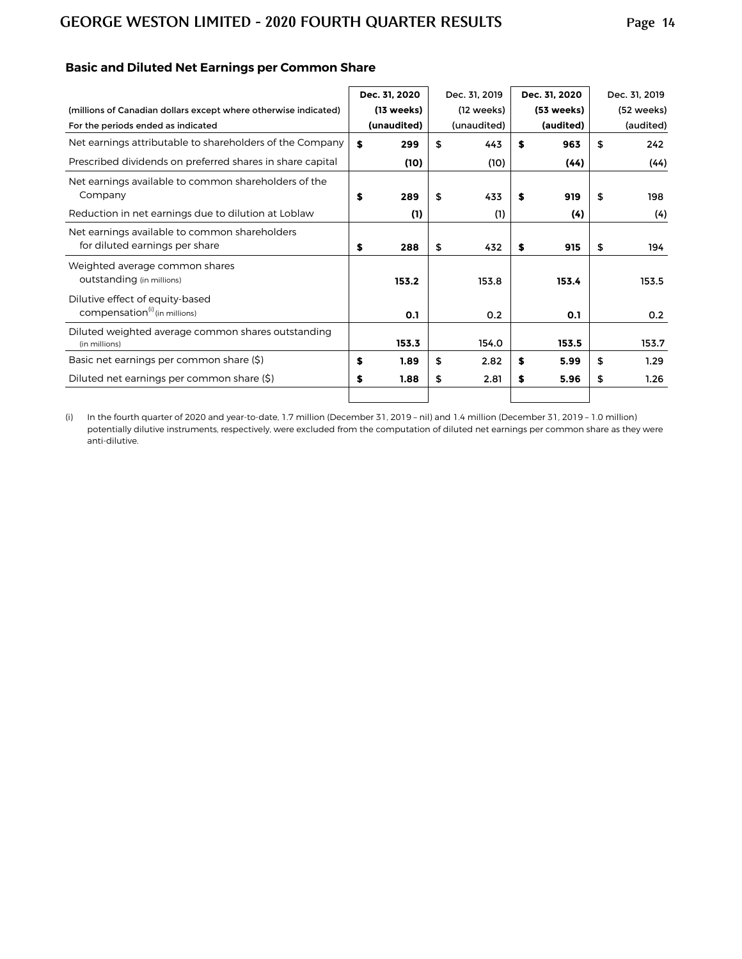|                                                                 | Dec. 31, 2020 | Dec. 31, 2019 | Dec. 31, 2020 | Dec. 31, 2019 |
|-----------------------------------------------------------------|---------------|---------------|---------------|---------------|
| (millions of Canadian dollars except where otherwise indicated) | (13 weeks)    | (12 weeks)    | (53 weeks)    | (52 weeks)    |
| For the periods ended as indicated                              | (unaudited)   | (unaudited)   | (audited)     | (audited)     |
| Net earnings attributable to shareholders of the Company        | \$<br>299     | \$<br>443     | \$<br>963     | \$<br>242     |
| Prescribed dividends on preferred shares in share capital       | (10)          | (10)          | (44)          | (44)          |
| Net earnings available to common shareholders of the            |               |               |               |               |
| Company                                                         | \$<br>289     | \$<br>433     | \$<br>919     | \$<br>198     |
| Reduction in net earnings due to dilution at Loblaw             | (1)           | (1)           | (4)           | (4)           |
| Net earnings available to common shareholders                   |               |               |               |               |
| for diluted earnings per share                                  | \$<br>288     | \$<br>432     | \$<br>915     | \$<br>194     |
| Weighted average common shares                                  |               |               |               |               |
| outstanding (in millions)                                       | 153.2         | 153.8         | 153.4         | 153.5         |
| Dilutive effect of equity-based                                 |               |               |               |               |
| compensation <sup>(i)</sup> (in millions)                       | 0.1           | 0.2           | 0.1           | 0.2           |
| Diluted weighted average common shares outstanding              |               |               |               |               |
| (in millions)                                                   | 153.3         | 154.0         | 153.5         | 153.7         |
| Basic net earnings per common share (\$)                        | \$<br>1.89    | \$<br>2.82    | \$<br>5.99    | \$<br>1.29    |
| Diluted net earnings per common share (\$)                      | \$<br>1.88    | \$<br>2.81    | \$<br>5.96    | \$<br>1.26    |
|                                                                 |               |               |               |               |

## **Basic and Diluted Net Earnings per Common Share**

(i) In the fourth quarter of 2020 and year-to-date, 1.7 million (December 31, 2019 – nil) and 1.4 million (December 31, 2019 – 1.0 million) potentially dilutive instruments, respectively, were excluded from the computation of diluted net earnings per common share as they were anti-dilutive.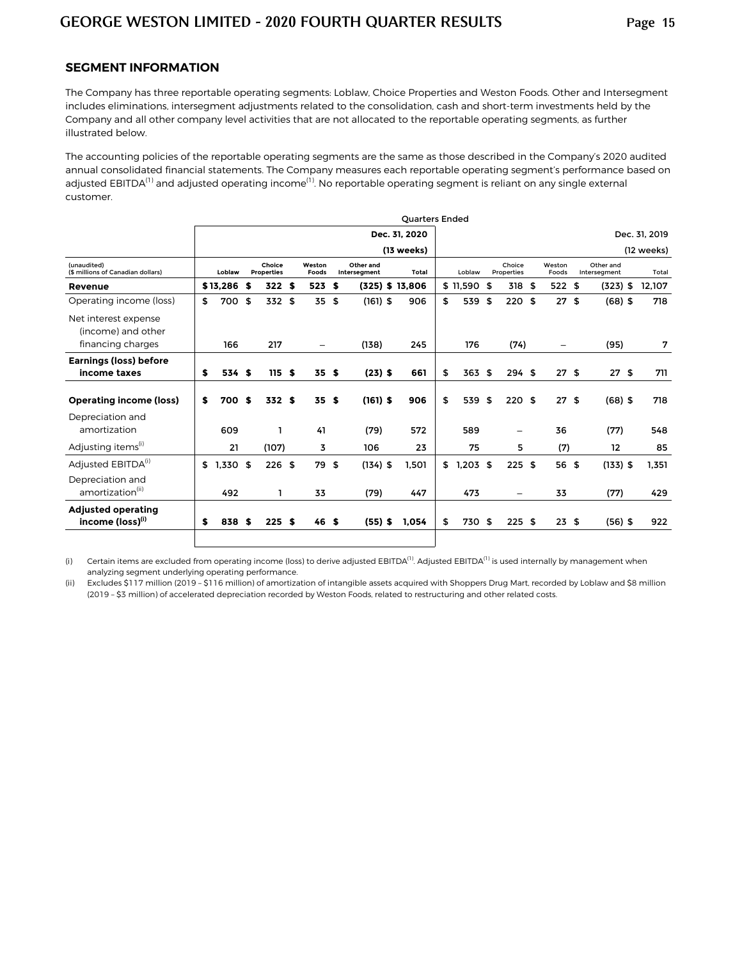#### **SEGMENT INFORMATION**

The Company has three reportable operating segments: Loblaw, Choice Properties and Weston Foods. Other and Intersegment includes eliminations, intersegment adjustments related to the consolidation, cash and short-term investments held by the Company and all other company level activities that are not allocated to the reportable operating segments, as further illustrated below.

The accounting policies of the reportable operating segments are the same as those described in the Company's 2020 audited annual consolidated financial statements. The Company measures each reportable operating segment's performance based on adjusted EBITDA<sup>(1)</sup> and adjusted operating income<sup>(1)</sup>. No reportable operating segment is reliant on any single external customer.

|                                                           | <b>Ouarters Ended</b> |              |  |                             |                 |      |                           |            |                                |                   |        |          |                      |          |  |                 |  |                           |        |  |  |  |  |  |  |  |
|-----------------------------------------------------------|-----------------------|--------------|--|-----------------------------|-----------------|------|---------------------------|------------|--------------------------------|-------------------|--------|----------|----------------------|----------|--|-----------------|--|---------------------------|--------|--|--|--|--|--|--|--|
|                                                           |                       |              |  |                             |                 |      |                           |            | Dec. 31. 2020<br>Dec. 31, 2019 |                   |        |          |                      |          |  |                 |  |                           |        |  |  |  |  |  |  |  |
|                                                           |                       |              |  |                             |                 |      |                           |            | (13 weeks)<br>(12 weeks)       |                   |        |          |                      |          |  |                 |  |                           |        |  |  |  |  |  |  |  |
| (unaudited)<br>(\$ millions of Canadian dollars)          |                       | Loblaw       |  | Choice<br><b>Properties</b> | Weston<br>Foods |      | Other and<br>Intersegment |            |                                | Total             | Loblaw |          | Choice<br>Properties |          |  | Weston<br>Foods |  | Other and<br>Intersegment | Total  |  |  |  |  |  |  |  |
| Revenue                                                   |                       | $$13,286$ \$ |  | 322S                        |                 | 523  | S.                        |            |                                | $(325)$ \$ 13,806 |        | \$11,590 | -\$                  | 318 \$   |  | 522S            |  | $(323)$ \$                | 12,107 |  |  |  |  |  |  |  |
| Operating income (loss)                                   | \$                    | 700 \$       |  | 332 \$                      |                 | 35   | \$                        | $(161)$ \$ |                                | 906               | \$     | 539      | \$                   | 220 \$   |  | 27S             |  | $(68)$ \$                 | 718    |  |  |  |  |  |  |  |
| Net interest expense<br>(income) and other                |                       |              |  |                             |                 |      |                           |            |                                |                   |        |          |                      |          |  |                 |  |                           |        |  |  |  |  |  |  |  |
| financing charges                                         |                       | 166          |  | 217                         |                 |      |                           | (138)      |                                | 245               |        | 176      |                      | (74)     |  |                 |  | (95)                      | 7      |  |  |  |  |  |  |  |
| <b>Earnings (loss) before</b><br>income taxes             | \$                    | 534 \$       |  | 115S                        |                 | 35S  |                           | $(23)$ \$  |                                | 661               | \$     | 363      | \$                   | 294S     |  | 27S             |  | 27S                       | 711    |  |  |  |  |  |  |  |
| <b>Operating income (loss)</b>                            | \$                    | 700 \$       |  | 332 \$                      |                 | 35   | \$                        | $(161)$ \$ |                                | 906               | \$     | 539      | \$                   | 220S     |  | 27S             |  | $(68)$ \$                 | 718    |  |  |  |  |  |  |  |
| Depreciation and<br>amortization                          |                       | 609          |  | 1                           |                 | 41   |                           | (79)       |                                | 572               |        | 589      |                      |          |  | 36              |  | (77)                      | 548    |  |  |  |  |  |  |  |
| Adjusting items <sup>(1)</sup>                            |                       | 21           |  | (107)                       |                 | 3    |                           | 106        |                                | 23                |        | 75       |                      | 5        |  | (7)             |  | 12                        | 85     |  |  |  |  |  |  |  |
| Adjusted EBITDA <sup>(i)</sup>                            | \$                    | $1,330$ \$   |  | $226$ \$                    |                 | 79   | \$                        | $(134)$ \$ |                                | 1,501             | \$     | 1,203    | \$                   | $225$ \$ |  | 56 \$           |  | $(133)$ \$                | 1.351  |  |  |  |  |  |  |  |
| Depreciation and<br>amortization <sup>(ii)</sup>          |                       | 492          |  | 1                           |                 | 33   |                           | (79)       |                                | 447               |        | 473      |                      | -        |  | 33              |  | (77)                      | 429    |  |  |  |  |  |  |  |
| <b>Adjusted operating</b><br>income (loss) <sup>(i)</sup> | \$                    | 838 \$       |  | 225S                        |                 | 46 S |                           | $(55)$ \$  |                                | 1,054             | \$     | 730 \$   |                      | $225$ \$ |  | 23S             |  | $(56)$ \$                 | 922    |  |  |  |  |  |  |  |
|                                                           |                       |              |  |                             |                 |      |                           |            |                                |                   |        |          |                      |          |  |                 |  |                           |        |  |  |  |  |  |  |  |

(i) Certain items are excluded from operating income (loss) to derive adjusted EBITDA<sup>(1)</sup>. Adjusted EBITDA<sup>(1)</sup> is used internally by management when analyzing segment underlying operating performance.

(ii) Excludes \$117 million (2019 – \$116 million) of amortization of intangible assets acquired with Shoppers Drug Mart, recorded by Loblaw and \$8 million (2019 – \$3 million) of accelerated depreciation recorded by Weston Foods, related to restructuring and other related costs.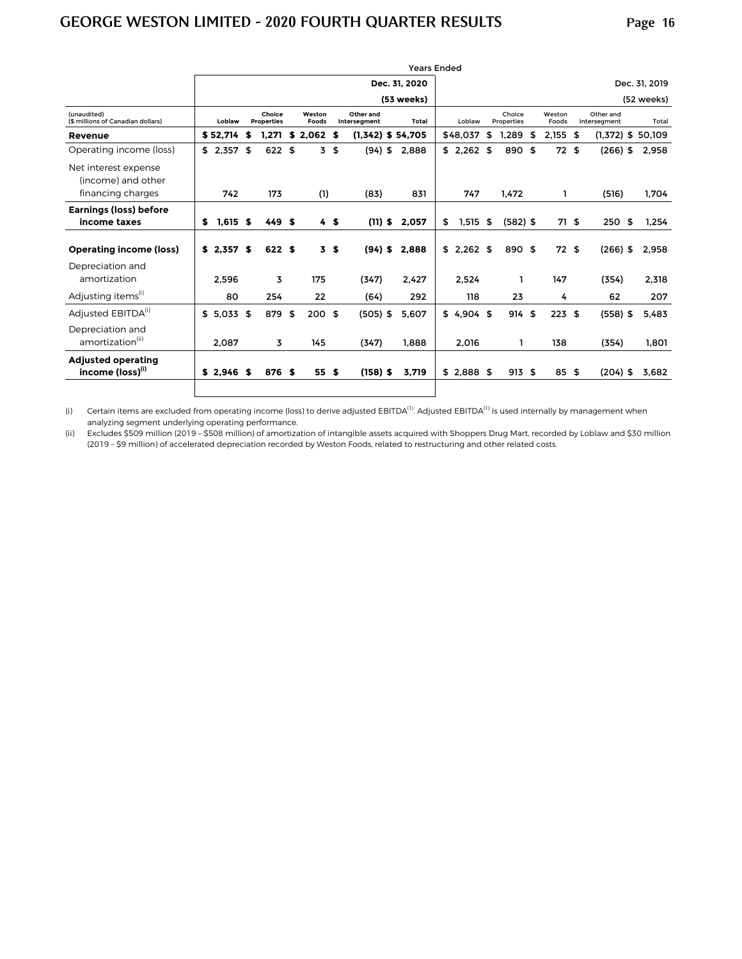|                                                           | <b>Years Ended</b> |             |                             |        |                 |       |                |                           |                                                            |                     |        |             |                      |            |      |                 |  |                           |        |  |  |  |  |  |  |  |  |
|-----------------------------------------------------------|--------------------|-------------|-----------------------------|--------|-----------------|-------|----------------|---------------------------|------------------------------------------------------------|---------------------|--------|-------------|----------------------|------------|------|-----------------|--|---------------------------|--------|--|--|--|--|--|--|--|--|
|                                                           |                    |             |                             |        |                 |       |                |                           | Dec. 31, 2019<br>Dec. 31, 2020<br>(53 weeks)<br>(52 weeks) |                     |        |             |                      |            |      |                 |  |                           |        |  |  |  |  |  |  |  |  |
|                                                           |                    |             |                             |        |                 |       |                |                           |                                                            |                     |        |             |                      |            |      |                 |  |                           |        |  |  |  |  |  |  |  |  |
| (unaudited)<br>(\$ millions of Canadian dollars)          |                    | Loblaw      | Choice<br><b>Properties</b> |        | Weston<br>Foods |       |                | Other and<br>Intersegment |                                                            | Total               | Loblaw |             | Choice<br>Properties |            |      | Weston<br>Foods |  | Other and<br>Intersegment | Total  |  |  |  |  |  |  |  |  |
| Revenue                                                   |                    | \$52.714    | \$                          | 1.271  | \$              | 2.062 | S.             |                           |                                                            | $(1,342)$ \$ 54,705 |        | \$48,037    | \$                   | 1.289      | - \$ | $2.155$ \$      |  | $(1,372)$ \$              | 50,109 |  |  |  |  |  |  |  |  |
| Operating income (loss)                                   |                    | $$2,357$ \$ |                             | 622 \$ |                 | 3     | \$             | $(94)$ \$                 |                                                            | 2,888               |        | \$2,262     | \$                   | 890 \$     |      | 72S             |  | $(266)$ \$                | 2,958  |  |  |  |  |  |  |  |  |
| Net interest expense<br>(income) and other                |                    |             |                             |        |                 |       |                |                           |                                                            |                     |        |             |                      |            |      |                 |  |                           |        |  |  |  |  |  |  |  |  |
| financing charges                                         |                    | 742         |                             | 173    |                 | (1)   |                | (83)                      |                                                            | 831                 |        | 747         |                      | 1,472      |      | 1               |  | (516)                     | 1,704  |  |  |  |  |  |  |  |  |
| <b>Earnings (loss) before</b><br>income taxes             | \$                 | $1,615$ \$  |                             | 449 \$ |                 |       | 4S             | $(11)$ \$                 |                                                            | 2,057               | \$     | 1,515       | \$                   | $(582)$ \$ |      | 71S             |  | 250S                      | 1,254  |  |  |  |  |  |  |  |  |
| <b>Operating income (loss)</b>                            |                    | $$2,357$ \$ |                             | 622 \$ |                 |       | 3 <sub>5</sub> | $(94)$ \$                 |                                                            | 2,888               |        | $$2,262$ \$ |                      | 890 \$     |      | 72S             |  | $(266)$ \$                | 2,958  |  |  |  |  |  |  |  |  |
| Depreciation and<br>amortization                          |                    | 2.596       |                             | 3      |                 | 175   |                | (347)                     |                                                            | 2.427               |        | 2.524       |                      | 1          |      | 147             |  | (354)                     | 2,318  |  |  |  |  |  |  |  |  |
| Adjusting items <sup>(1)</sup>                            |                    | 80          |                             | 254    |                 | 22    |                | (64)                      |                                                            | 292                 |        | 118         |                      | 23         |      | 4               |  | 62                        | 207    |  |  |  |  |  |  |  |  |
| Adjusted EBITDA <sup>(i)</sup>                            |                    | \$5.033\$   |                             | 879 \$ |                 | 200S  |                | $(505)$ \$                |                                                            | 5.607               |        | \$4.904\$   |                      | 914 \$     |      | 223S            |  | $(558)$ \$                | 5,483  |  |  |  |  |  |  |  |  |
| Depreciation and<br>amortization <sup>(ii)</sup>          |                    | 2,087       |                             | 3      |                 | 145   |                | (347)                     |                                                            | 1.888               |        | 2,016       |                      | 1          |      | 138             |  | (354)                     | 1,801  |  |  |  |  |  |  |  |  |
| <b>Adjusted operating</b><br>income (loss) <sup>(i)</sup> |                    | \$2.946\$   |                             | 876 \$ |                 | 55 \$ |                | $(158)$ \$                |                                                            | 3,719               |        | \$2,888     | \$                   | 913 \$     |      | 85 \$           |  | $(204)$ \$                | 3,682  |  |  |  |  |  |  |  |  |
|                                                           |                    |             |                             |        |                 |       |                |                           |                                                            |                     |        |             |                      |            |      |                 |  |                           |        |  |  |  |  |  |  |  |  |

(i) Certain items are excluded from operating income (loss) to derive adjusted EBITDA<sup>(1)</sup>. Adjusted EBITDA<sup>(1)</sup> is used internally by management when analyzing segment underlying operating performance.

(ii) Excludes \$509 million (2019 – \$508 million) of amortization of intangible assets acquired with Shoppers Drug Mart, recorded by Loblaw and \$30 million (2019 – \$9 million) of accelerated depreciation recorded by Weston Foods, related to restructuring and other related costs.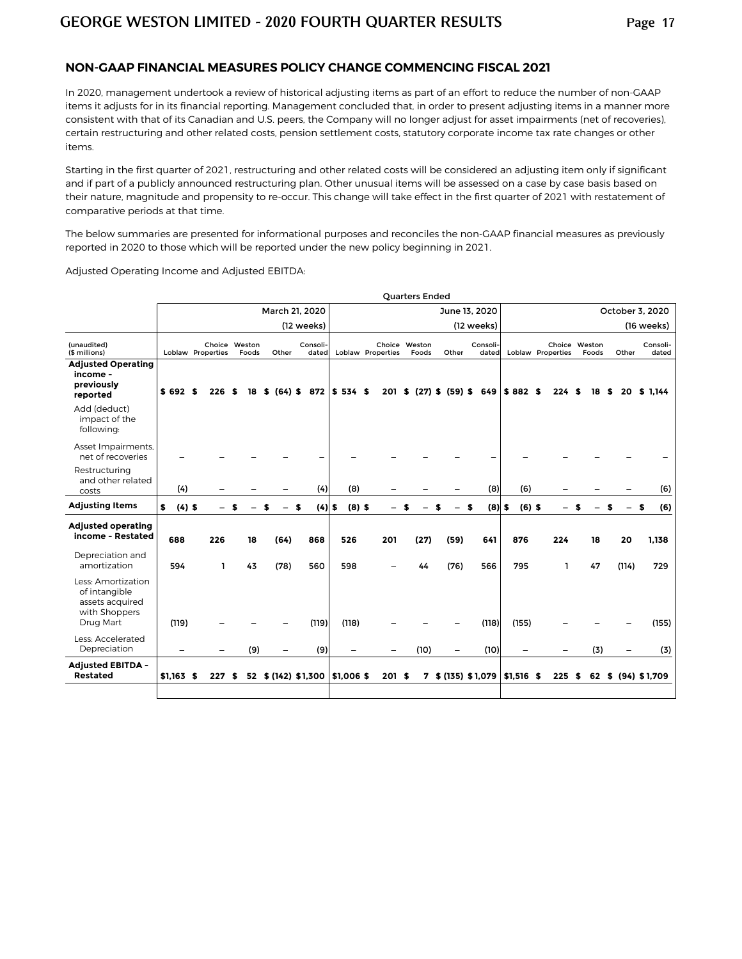#### **NON-GAAP FINANCIAL MEASURES POLICY CHANGE COMMENCING FISCAL 2021**

In 2020, management undertook a review of historical adjusting items as part of an effort to reduce the number of non-GAAP items it adjusts for in its financial reporting. Management concluded that, in order to present adjusting items in a manner more consistent with that of its Canadian and U.S. peers, the Company will no longer adjust for asset impairments (net of recoveries), certain restructuring and other related costs, pension settlement costs, statutory corporate income tax rate changes or other items.

Starting in the first quarter of 2021, restructuring and other related costs will be considered an adjusting item only if significant and if part of a publicly announced restructuring plan. Other unusual items will be assessed on a case by case basis based on their nature, magnitude and propensity to re-occur. This change will take effect in the first quarter of 2021 with restatement of comparative periods at that time.

The below summaries are presented for informational purposes and reconciles the non-GAAP financial measures as previously reported in 2020 to those which will be reported under the new policy beginning in 2021.

Adjusted Operating Income and Adjusted EBITDA:

|                                                                                      |                                                                           |     |          |                 |                 |                |                   | <b>Quarters Ended</b>  |                                   |                   |                          |                   |                        |         |                   |  |  |  |  |  |  |
|--------------------------------------------------------------------------------------|---------------------------------------------------------------------------|-----|----------|-----------------|-----------------|----------------|-------------------|------------------------|-----------------------------------|-------------------|--------------------------|-------------------|------------------------|---------|-------------------|--|--|--|--|--|--|
|                                                                                      |                                                                           |     |          |                 | March 21, 2020  |                |                   |                        | June 13, 2020                     |                   | October 3, 2020          |                   |                        |         |                   |  |  |  |  |  |  |
|                                                                                      |                                                                           |     |          |                 | (12 weeks)      |                |                   |                        |                                   | (12 weeks)        | (16 weeks)               |                   |                        |         |                   |  |  |  |  |  |  |
| (unaudited)<br>(\$ millions)                                                         | Choice Weston<br>Consoli-<br>Loblaw Properties<br>Foods<br>Other<br>dated |     |          |                 |                 |                | Loblaw Properties | Choice Weston<br>Foods | Other                             | Consoli-<br>dated |                          | Loblaw Properties | Choice Weston<br>Foods | Other   | Consoli-<br>dated |  |  |  |  |  |  |
| <b>Adjusted Operating</b><br>income -<br>previously<br>reported                      | $$692$ $$$                                                                | 226 | \$<br>18 | $(64)$ \$<br>s. | 872             | \$534\$        |                   |                        | $201$ \$ $(27)$ \$ $(59)$ \$      | 649               | $$882$ \$                | 224S              | 18                     | S<br>20 | \$ 1.144          |  |  |  |  |  |  |
| Add (deduct)<br>impact of the<br>following:                                          |                                                                           |     |          |                 |                 |                |                   |                        |                                   |                   |                          |                   |                        |         |                   |  |  |  |  |  |  |
| Asset Impairments,<br>net of recoveries                                              |                                                                           |     |          |                 |                 |                |                   |                        |                                   |                   |                          |                   |                        |         |                   |  |  |  |  |  |  |
| Restructuring<br>and other related<br>costs                                          | (4)                                                                       |     |          |                 | (4)             | (8)            |                   |                        |                                   | (8)               | (6)                      |                   |                        |         | (6)               |  |  |  |  |  |  |
| <b>Adjusting Items</b>                                                               | $(4)$ \$<br>\$                                                            |     | \$       |                 | (4)<br>S        | $(8)$ \$<br>\$ |                   |                        | -                                 | $(8)$ \$<br>\$    | $(6)$ \$                 |                   |                        | \$      | (6)<br>\$         |  |  |  |  |  |  |
| <b>Adjusted operating</b><br>income - Restated                                       | 688                                                                       | 226 | 18       | (64)            | 868             | 526            | 201               | (27)                   | (59)                              | 641               | 876                      | 224               | 18                     | 20      | 1,138             |  |  |  |  |  |  |
| Depreciation and<br>amortization                                                     | 594                                                                       | I.  | 43       | (78)            | 560             | 598            |                   | 44                     | (76)                              | 566               | 795                      | п.                | 47                     | (114)   | 729               |  |  |  |  |  |  |
| Less: Amortization<br>of intangible<br>assets acquired<br>with Shoppers<br>Drug Mart | (119)                                                                     |     |          |                 | (119)           | (118)          |                   |                        |                                   | (118)             | (155)                    |                   |                        |         | (155)             |  |  |  |  |  |  |
| Less: Accelerated<br>Depreciation                                                    | $\overline{\phantom{0}}$                                                  |     | (9)      |                 | (9)             | -              |                   | (10)                   | -                                 | (10)              | $\overline{\phantom{0}}$ |                   | (3)                    |         | (3)               |  |  |  |  |  |  |
| <b>Adjusted EBITDA -</b><br><b>Restated</b>                                          | $$1,163$ \$                                                               | 227 | 52<br>\$ |                 | \$(142) \$1,300 | \$1,006\$      | 201 \$            |                        | $7$ \$ (135) \$ 1,079 \\$1,516 \$ |                   |                          | 225               | 62<br>- \$             |         | \$ (94) \$1,709   |  |  |  |  |  |  |
|                                                                                      |                                                                           |     |          |                 |                 |                |                   |                        |                                   |                   |                          |                   |                        |         |                   |  |  |  |  |  |  |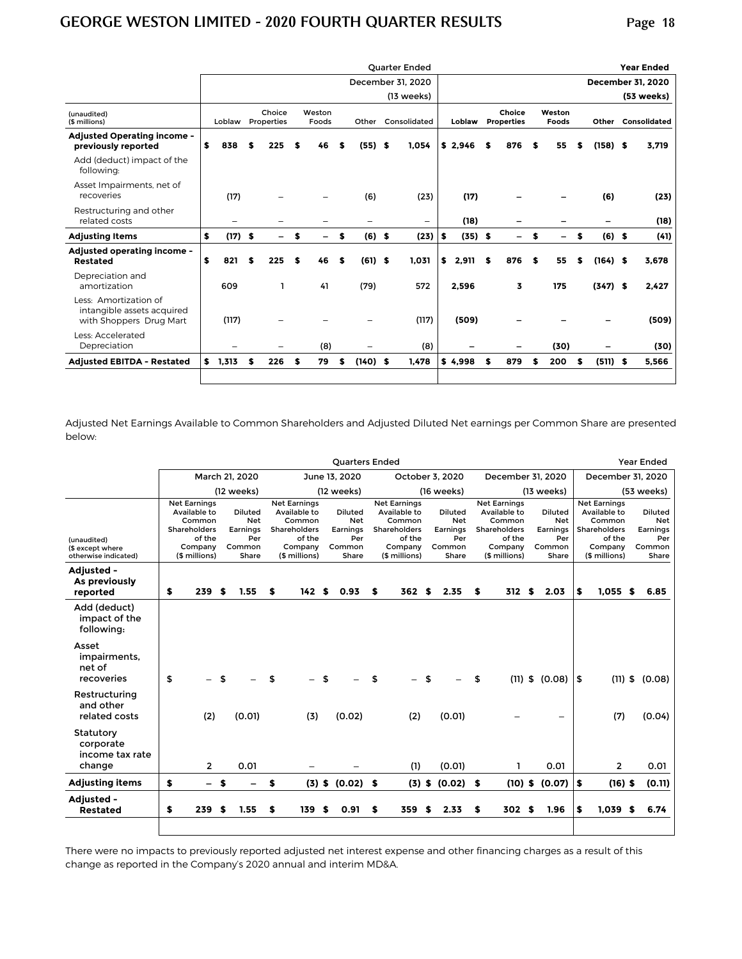|                                                                                |                 |    |                          |                 |     |    |                   |              | Quarter Ended |        |           |                             |                          |                 |                          |    |            | <b>Year Ended</b>         |
|--------------------------------------------------------------------------------|-----------------|----|--------------------------|-----------------|-----|----|-------------------|--------------|---------------|--------|-----------|-----------------------------|--------------------------|-----------------|--------------------------|----|------------|---------------------------|
|                                                                                |                 |    |                          |                 |     |    | December 31, 2020 |              |               |        |           |                             |                          |                 | <b>December 31, 2020</b> |    |            |                           |
|                                                                                |                 |    |                          |                 |     |    |                   |              | (13 weeks)    |        |           |                             |                          |                 |                          |    |            | (53 weeks)                |
| (unaudited)<br>(\$ millions)                                                   | Loblaw          |    | Choice<br>Properties     | Weston<br>Foods |     |    | Other             | Consolidated |               | Loblaw |           | Choice<br><b>Properties</b> |                          | Weston<br>Foods |                          |    |            | <b>Other Consolidated</b> |
| Adjusted Operating income -<br>previously reported                             | \$<br>838       | \$ | 225                      |                 | 46  |    | (55)              | \$           | 1,054         |        | \$2,946   | S                           | 876                      | S               | 55                       | S  | $(158)$ \$ | 3,719                     |
| Add (deduct) impact of the<br>following:                                       |                 |    |                          |                 |     |    |                   |              |               |        |           |                             |                          |                 |                          |    |            |                           |
| Asset Impairments, net of<br>recoveries                                        | (17)            |    |                          |                 |     |    | (6)               |              | (23)          |        | (17)      |                             |                          |                 |                          |    | (6)        | (23)                      |
| Restructuring and other<br>related costs                                       |                 |    |                          |                 |     |    |                   |              | -             |        | (18)      |                             |                          |                 |                          |    |            | (18)                      |
| <b>Adjusting Items</b>                                                         | \$<br>$(17)$ \$ |    | $\overline{\phantom{0}}$ | S               | -   | \$ | (6)               | - \$         | (23)          | \$     | $(35)$ \$ |                             | $\overline{\phantom{0}}$ | S               | Ξ.                       | S  | $(6)$ \$   | (41)                      |
| Adjusted operating income -<br>Restated                                        | \$<br>821       | £. | 225                      | S               | 46  | \$ | (61)              | - \$         | 1.031         | \$     | 2,911     | S                           | 876                      | S               | 55                       | \$ | $(164)$ \$ | 3.678                     |
| Depreciation and<br>amortization                                               | 609             |    | ı                        |                 | 41  |    | (79)              |              | 572           |        | 2,596     |                             | 3                        |                 | 175                      |    | $(347)$ \$ | 2,427                     |
| Less: Amortization of<br>intangible assets acquired<br>with Shoppers Drug Mart | (117)           |    |                          |                 |     |    |                   |              | (117)         |        | (509)     |                             |                          |                 |                          |    |            | (509)                     |
| Less: Accelerated<br>Depreciation                                              |                 |    | -                        |                 | (8) |    |                   |              | (8)           |        |           |                             |                          |                 | (30)                     |    |            | (30)                      |
| <b>Adjusted EBITDA - Restated</b>                                              | \$<br>1,313     | S  | 226                      | \$              | 79  | \$ | $(140)$ \$        |              | 1,478         |        | \$4,998   | S                           | 879                      | S               | 200                      | \$ | $(511)$ \$ | 5,566                     |
|                                                                                |                 |    |                          |                 |     |    |                   |              |               |        |           |                             |                          |                 |                          |    |            |                           |

Adjusted Net Earnings Available to Common Shareholders and Adjusted Diluted Net earnings per Common Share are presented below:

|                                                         |                                                                                                                                                                    |                          |                                                                                                     |                                                                    | <b>Quarters Ended</b> |                                                                                                     |                                                             |                                                                                                     |                                                             |                       | <b>Year Ended</b>                                                                                   |                   |                                                             |        |  |  |
|---------------------------------------------------------|--------------------------------------------------------------------------------------------------------------------------------------------------------------------|--------------------------|-----------------------------------------------------------------------------------------------------|--------------------------------------------------------------------|-----------------------|-----------------------------------------------------------------------------------------------------|-------------------------------------------------------------|-----------------------------------------------------------------------------------------------------|-------------------------------------------------------------|-----------------------|-----------------------------------------------------------------------------------------------------|-------------------|-------------------------------------------------------------|--------|--|--|
|                                                         |                                                                                                                                                                    |                          | March 21, 2020                                                                                      |                                                                    | June 13, 2020         |                                                                                                     |                                                             | October 3, 2020                                                                                     | December 31, 2020                                           |                       |                                                                                                     | December 31, 2020 |                                                             |        |  |  |
|                                                         |                                                                                                                                                                    |                          | (12 weeks)                                                                                          |                                                                    | (12 weeks)            |                                                                                                     |                                                             | (16 weeks)                                                                                          |                                                             | (13 weeks)            | (53 weeks)                                                                                          |                   |                                                             |        |  |  |
| (unaudited)<br>(\$ except where<br>otherwise indicated) | <b>Net Earnings</b><br>Available to<br>Diluted<br><b>Net</b><br>Common<br>Shareholders<br>Earnings<br>of the<br>Per<br>Company<br>Common<br>(\$ millions)<br>Share |                          | <b>Net Earnings</b><br>Available to<br>Common<br>Shareholders<br>of the<br>Company<br>(\$ millions) | <b>Diluted</b><br><b>Net</b><br>Earnings<br>Per<br>Common<br>Share |                       | <b>Net Earnings</b><br>Available to<br>Common<br>Shareholders<br>of the<br>Company<br>(\$ millions) | Diluted<br><b>Net</b><br>Earnings<br>Per<br>Common<br>Share | <b>Net Earnings</b><br>Available to<br>Common<br>Shareholders<br>of the<br>Company<br>(\$ millions) | Diluted<br><b>Net</b><br>Earnings<br>Per<br>Common<br>Share |                       | <b>Net Earnings</b><br>Available to<br>Common<br>Shareholders<br>of the<br>Company<br>(\$ millions) |                   | <b>Diluted</b><br>Net<br>Earnings<br>Per<br>Common<br>Share |        |  |  |
| Adjusted -<br>As previously<br>reported                 | \$                                                                                                                                                                 | 239                      | \$<br>1.55                                                                                          | \$<br>142S                                                         | 0.93                  | S                                                                                                   | 362 \$                                                      | 2.35                                                                                                | \$<br>312 \$                                                | 2.03                  | \$                                                                                                  | $1.055$ \$        |                                                             | 6.85   |  |  |
| Add (deduct)<br>impact of the<br>following:             |                                                                                                                                                                    |                          |                                                                                                     |                                                                    |                       |                                                                                                     |                                                             |                                                                                                     |                                                             |                       |                                                                                                     |                   |                                                             |        |  |  |
| Asset<br>impairments,<br>net of<br>recoveries           | \$                                                                                                                                                                 |                          |                                                                                                     | \$                                                                 | \$                    | \$                                                                                                  |                                                             | \$                                                                                                  | \$                                                          | $(11)$ \$ $(0.08)$    | \$                                                                                                  | $(11)$ \$         |                                                             | (0.08) |  |  |
| Restructuring<br>and other<br>related costs             |                                                                                                                                                                    | (2)                      | (0.01)                                                                                              | (3)                                                                | (0.02)                |                                                                                                     | (2)                                                         | (0.01)                                                                                              |                                                             |                       |                                                                                                     | (7)               |                                                             | (0.04) |  |  |
| Statutory<br>corporate<br>income tax rate<br>change     |                                                                                                                                                                    | $\overline{2}$           | 0.01                                                                                                |                                                                    |                       |                                                                                                     | (1)                                                         | (0.01)                                                                                              | ı                                                           | 0.01                  |                                                                                                     | $\overline{2}$    |                                                             | 0.01   |  |  |
| <b>Adjusting items</b>                                  | \$                                                                                                                                                                 | $\overline{\phantom{0}}$ | \$                                                                                                  | \$                                                                 | $(3)$ \$ $(0.02)$ \$  |                                                                                                     |                                                             | $(3)$ \$ $(0.02)$ \$                                                                                |                                                             | $(10)$ \$ $(0.07)$ \$ |                                                                                                     | $(16)$ \$         |                                                             | (0.11) |  |  |
| Adjusted -<br><b>Restated</b>                           | \$                                                                                                                                                                 | 239                      | \$<br>1.55                                                                                          | \$<br>139                                                          | \$<br>0.91            | \$                                                                                                  | 359                                                         | \$<br>2.33                                                                                          | \$<br>302 \$                                                | 1.96                  | \$                                                                                                  | $1,039$ \$        |                                                             | 6.74   |  |  |
|                                                         |                                                                                                                                                                    |                          |                                                                                                     |                                                                    |                       |                                                                                                     |                                                             |                                                                                                     |                                                             |                       |                                                                                                     |                   |                                                             |        |  |  |

There were no impacts to previously reported adjusted net interest expense and other financing charges as a result of this change as reported in the Company's 2020 annual and interim MD&A.